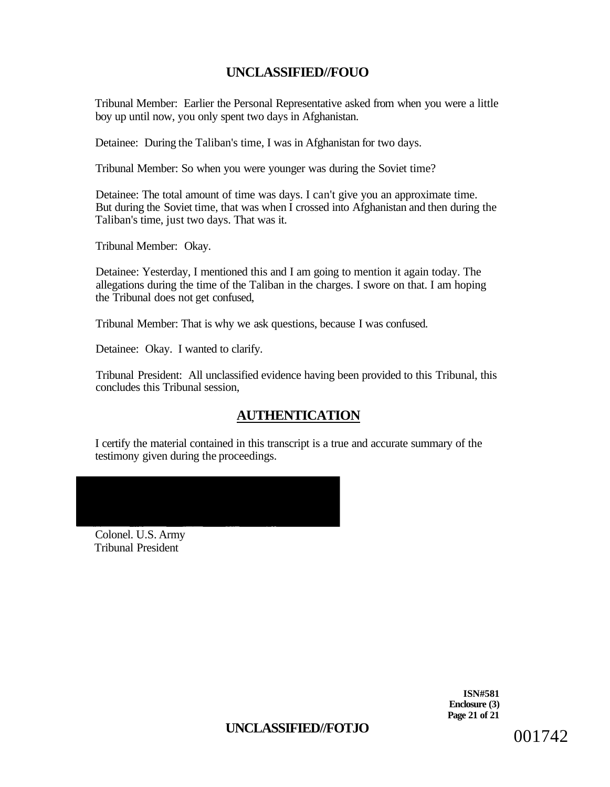Tribunal Member: Earlier the Personal Representative asked from when you were a little boy up until now, you only spent two days in Afghanistan.

Detainee: During the Taliban's time, I was in Afghanistan for two days.

Tribunal Member: So when you were younger was during the Soviet time?

Detainee: The total amount of time was days. I can't give you an approximate time. But during the Soviet time, that was when I crossed into Afghanistan and then during the Taliban's time, just two days. That was it.

Tribunal Member: Okay.

Detainee: Yesterday, I mentioned this and I am going to mention it again today. The allegations during the time of the Taliban in the charges. I swore on that. I am hoping the Tribunal does not get confused,

Tribunal Member: That is why we ask questions, because I was confused.

Detainee: Okay. I wanted to clarify.

Tribunal President: All unclassified evidence having been provided to this Tribunal, this concludes this Tribunal session,

# **AUTHENTICATION**

I certify the material contained in this transcript is a true and accurate summary of the testimony given during the proceedings.

Colonel. U.S. Army Tribunal President

> **ISN#581 Enclosure (3) Page 21 of 21**

UNCLASSIFIED//FOTJO 001742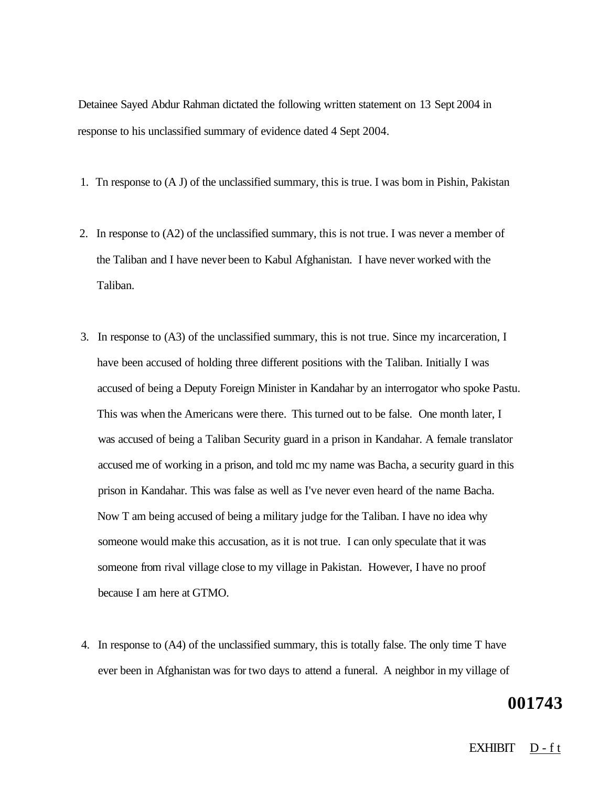Detainee Sayed Abdur Rahman dictated the following written statement on 13 Sept 2004 in response to his unclassified summary of evidence dated 4 Sept 2004.

- 1. Tn response to (A J) of the unclassified summary, this is true. I was bom in Pishin, Pakistan
- 2. In response to (A2) of the unclassified summary, this is not true. I was never a member of the Taliban and I have never been to Kabul Afghanistan. I have never worked with the Taliban.
- 3. In response to (A3) of the unclassified summary, this is not true. Since my incarceration, I have been accused of holding three different positions with the Taliban. Initially I was accused of being a Deputy Foreign Minister in Kandahar by an interrogator who spoke Pastu. This was when the Americans were there. This turned out to be false. One month later, I was accused of being a Taliban Security guard in a prison in Kandahar. A female translator accused me of working in a prison, and told mc my name was Bacha, a security guard in this prison in Kandahar. This was false as well as I've never even heard of the name Bacha. Now T am being accused of being a military judge for the Taliban. I have no idea why someone would make this accusation, as it is not true. I can only speculate that it was someone from rival village close to my village in Pakistan. However, I have no proof because I am here at GTMO.
- 4. In response to (A4) of the unclassified summary, this is totally false. The only time T have ever been in Afghanistan was for two days to attend a funeral. A neighbor in my village of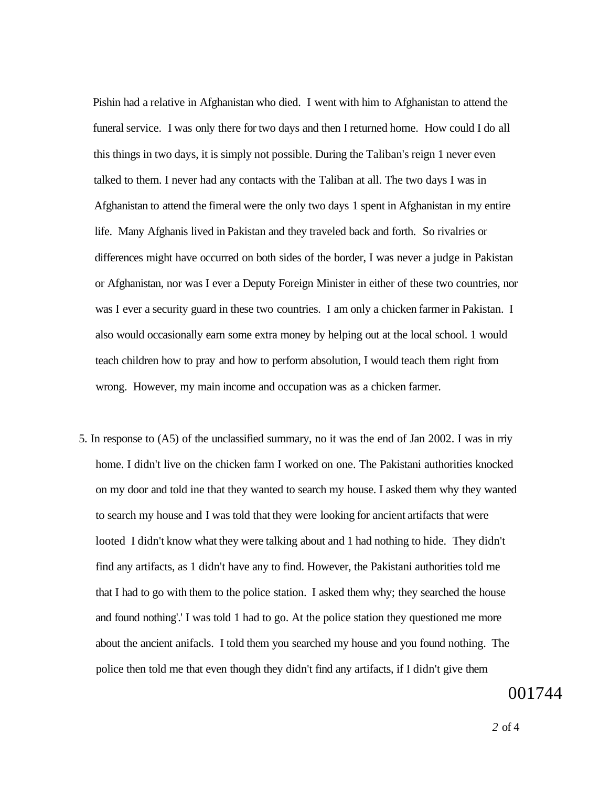Pishin had a relative in Afghanistan who died. I went with him to Afghanistan to attend the funeral service. I was only there for two days and then I returned home. How could I do all this things in two days, it is simply not possible. During the Taliban's reign 1 never even talked to them. I never had any contacts with the Taliban at all. The two days I was in Afghanistan to attend the fimeral were the only two days 1 spent in Afghanistan in my entire life. Many Afghanis lived in Pakistan and they traveled back and forth. So rivalries or differences might have occurred on both sides of the border, I was never a judge in Pakistan or Afghanistan, nor was I ever a Deputy Foreign Minister in either of these two countries, nor was I ever a security guard in these two countries. I am only a chicken farmer in Pakistan. I also would occasionally earn some extra money by helping out at the local school. 1 would teach children how to pray and how to perform absolution, I would teach them right from wrong. However, my main income and occupation was as a chicken farmer.

5. In response to (A5) of the unclassified summary, no it was the end of Jan 2002. I was in rriy home. I didn't live on the chicken farm I worked on one. The Pakistani authorities knocked on my door and told ine that they wanted to search my house. I asked them why they wanted to search my house and I was told that they were looking for ancient artifacts that were looted I didn't know what they were talking about and 1 had nothing to hide. They didn't find any artifacts, as 1 didn't have any to find. However, the Pakistani authorities told me that I had to go with them to the police station. I asked them why; they searched the house and found nothing'.' I was told 1 had to go. At the police station they questioned me more about the ancient anifacls. I told them you searched my house and you found nothing. The police then told me that even though they didn't find any artifacts, if I didn't give them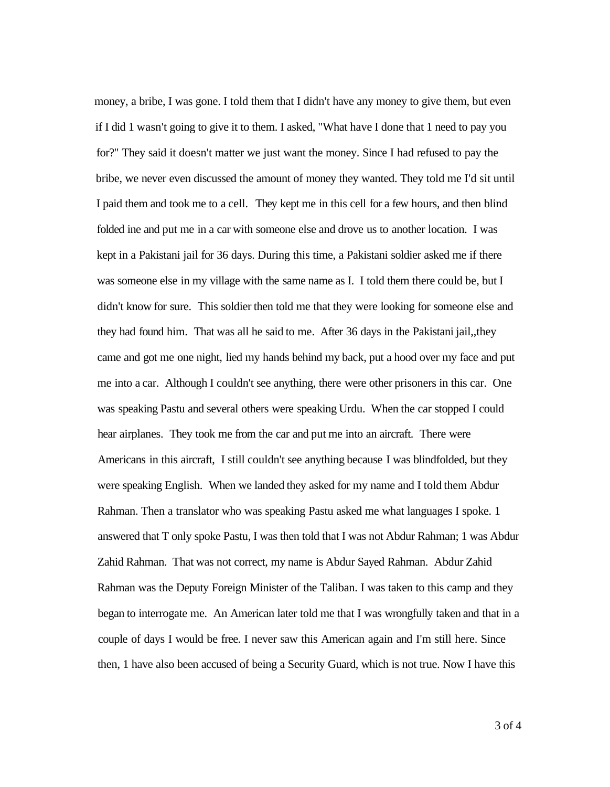money, a bribe, I was gone. I told them that I didn't have any money to give them, but even if I did 1 wasn't going to give it to them. I asked, "What have I done that 1 need to pay you for?" They said it doesn't matter we just want the money. Since I had refused to pay the bribe, we never even discussed the amount of money they wanted. They told me I'd sit until I paid them and took me to a cell. They kept me in this cell for a few hours, and then blind folded ine and put me in a car with someone else and drove us to another location. I was kept in a Pakistani jail for 36 days. During this time, a Pakistani soldier asked me if there was someone else in my village with the same name as I. I told them there could be, but I didn't know for sure. This soldier then told me that they were looking for someone else and they had found him. That was all he said to me. After 36 days in the Pakistani jail,,they came and got me one night, lied my hands behind my back, put a hood over my face and put me into a car. Although I couldn't see anything, there were other prisoners in this car. One was speaking Pastu and several others were speaking Urdu. When the car stopped I could hear airplanes. They took me from the car and put me into an aircraft. There were Americans in this aircraft, I still couldn't see anything because I was blindfolded, but they were speaking English. When we landed they asked for my name and I told them Abdur Rahman. Then a translator who was speaking Pastu asked me what languages I spoke. 1 answered that T only spoke Pastu, I was then told that I was not Abdur Rahman; 1 was Abdur Zahid Rahman. That was not correct, my name is Abdur Sayed Rahman. Abdur Zahid Rahman was the Deputy Foreign Minister of the Taliban. I was taken to this camp and they began to interrogate me. An American later told me that I was wrongfully taken and that in a couple of days I would be free. I never saw this American again and I'm still here. Since then, 1 have also been accused of being a Security Guard, which is not true. Now I have this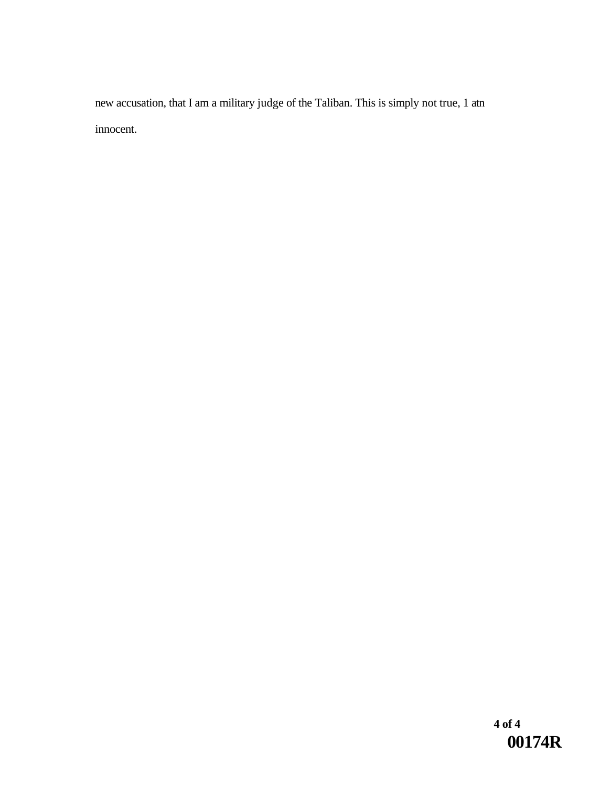new accusation, that I am a military judge of the Taliban. This is simply not true, 1 atn innocent.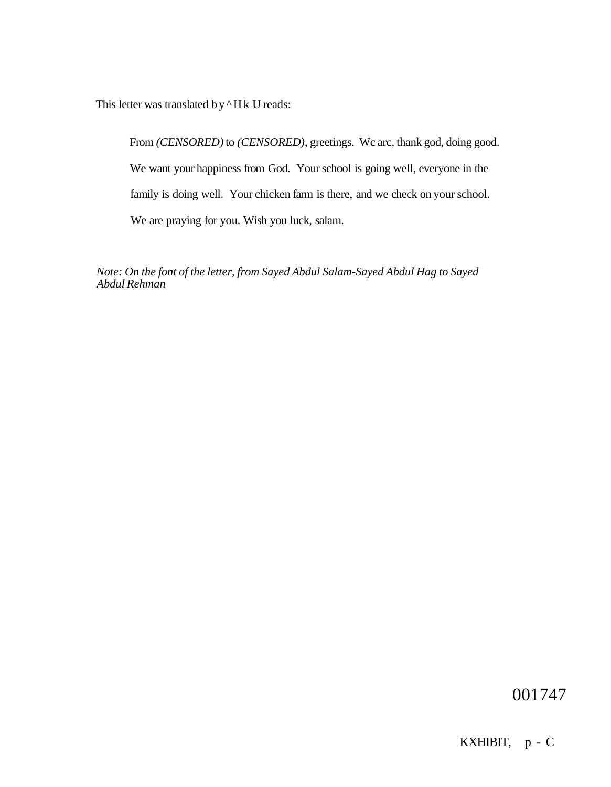This letter was translated by  $^{\wedge}$  Hk U reads:

From *(CENSORED)* to *(CENSORED),* greetings. Wc arc, thank god, doing good. We want your happiness from God. Your school is going well, everyone in the family is doing well. Your chicken farm is there, and we check on your school. We are praying for you. Wish you luck, salam.

*Note: On the font of the letter, from Sayed Abdul Salam-Sayed Abdul Hag to Sayed Abdul Rehman*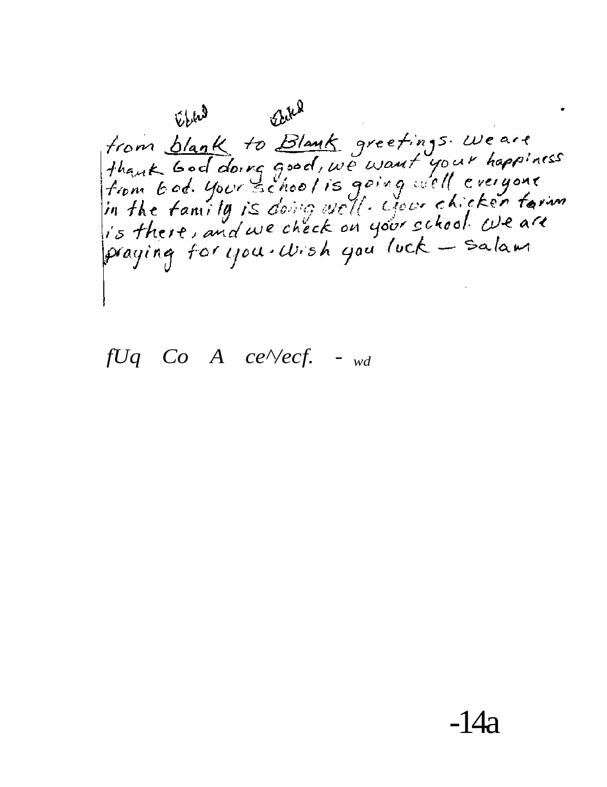Elm<sup>1</sup> Elm from blank to Blank greetings weare<br>thank God doing good, we want your happiness<br>from bod. your school is going well everyone<br>in the family is doing well. your chicken farm praying for you. Wish you luck - Salam

 $fUq$  Co A ce $\sqrt{e}$ cf. - wd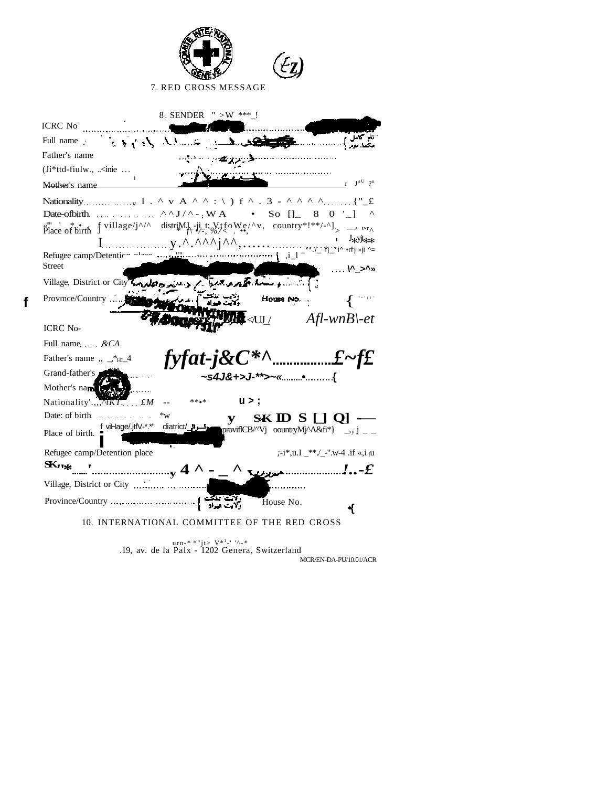| Łт<br>7. RED CROSS MESSAGE                                                                                                                                                                                                                                                                                                                                                                                                                                                                    |
|-----------------------------------------------------------------------------------------------------------------------------------------------------------------------------------------------------------------------------------------------------------------------------------------------------------------------------------------------------------------------------------------------------------------------------------------------------------------------------------------------|
| 8. SENDER $" > W$ ***!                                                                                                                                                                                                                                                                                                                                                                                                                                                                        |
| ICRC No                                                                                                                                                                                                                                                                                                                                                                                                                                                                                       |
|                                                                                                                                                                                                                                                                                                                                                                                                                                                                                               |
| Father's name<br>الاستنسان المستحقق ويوافقها المتمايس<br>$(Ii*ttd-fiulw., \dots$                                                                                                                                                                                                                                                                                                                                                                                                              |
|                                                                                                                                                                                                                                                                                                                                                                                                                                                                                               |
| Mother's name                                                                                                                                                                                                                                                                                                                                                                                                                                                                                 |
| Date-ofbirth. $\cdots$ $\cdots$ $\cdots$ $\wedge$ $\vee$ $\vee$ - WA • So [] 8 0 '_] $\wedge$                                                                                                                                                                                                                                                                                                                                                                                                 |
| $\sum_{\text{place of birth}}^{\infty} \frac{1}{\text{birth}} \frac{1}{\text{�i}} \frac{\text{village/j}}{\text{ynlage/j}}$ \distribution distribution distribution distribution distribution distribution distribution distribution distribution distribution distribution distribution distrib                                                                                                                                                                                              |
| $\begin{array}{lll} \int \frac{\sin(2\pi x)}{x} \int \frac{\sin(2\pi x)}{x} \int \frac{\sqrt{x}}{x} \int \frac{\sqrt{x}}{x} \int \frac{\sqrt{x}}{x} \int \frac{\sqrt{x}}{x} \int \frac{\sqrt{x}}{x} \int \frac{\sqrt{x}}{x} \int \frac{\sqrt{x}}{x} \int \frac{\sqrt{x}}{x} \int \frac{\sqrt{x}}{x} \int \frac{\sqrt{x}}{x} \int \frac{\sqrt{x}}{x} \int \frac{\sqrt{x}}{x} \int \frac{\sqrt{x}}{x} \int \frac{\sqrt{x}}{x} \int \frac{\sqrt{x}}{x} \int \frac{\sqrt{x}}{x} \int \frac{\sqrt$ |
| Refugee camp/Detentier nlane                                                                                                                                                                                                                                                                                                                                                                                                                                                                  |
| <b>Street</b>                                                                                                                                                                                                                                                                                                                                                                                                                                                                                 |
| Warshington<br>Village, District or City London & My                                                                                                                                                                                                                                                                                                                                                                                                                                          |
| Provmce/Country<br>House No.                                                                                                                                                                                                                                                                                                                                                                                                                                                                  |
|                                                                                                                                                                                                                                                                                                                                                                                                                                                                                               |
| $\mathcal{L} \triangleleft \cup \_$ Afl-wnB\-et<br><b>ICRC</b> No-                                                                                                                                                                                                                                                                                                                                                                                                                            |
| Full name & CA                                                                                                                                                                                                                                                                                                                                                                                                                                                                                |
| Father's name $, \frac{4}{5}$ + H <sub>1</sub>                                                                                                                                                                                                                                                                                                                                                                                                                                                |
| Grand-father's<br>.s4J&+>J-**>~«•{                                                                                                                                                                                                                                                                                                                                                                                                                                                            |
| Mother's name if                                                                                                                                                                                                                                                                                                                                                                                                                                                                              |
| u > ;<br>Nationality'.,, $\sqrt{\tau_K T}$ fM<br>$***$ o*<br>$\overline{\phantom{a}}$ .                                                                                                                                                                                                                                                                                                                                                                                                       |
| Date: of birth <b>Exercise 2.1</b><br>$*_{W}$<br>$SKID S [0]$ —<br>${\bf y}$                                                                                                                                                                                                                                                                                                                                                                                                                  |
| f_viHage/.jtfV-*.*" diatrict/_ <b>_____</b><br>provifICB/^'Vj oountryMj^A&fi*} _,y j _ _<br>Place of birth.                                                                                                                                                                                                                                                                                                                                                                                   |
| Refugee camp/Detention place<br>;-i*,u.I _**./_-".w-4 .if «,i $_{\rm f}$ u                                                                                                                                                                                                                                                                                                                                                                                                                    |
| $\mathbf{K}$ $\mathbf{K}$<br>$\mathcal{L}_{\mathcal{L}}$ . $\mathcal{L}$<br>$\mathbf{Q}$                                                                                                                                                                                                                                                                                                                                                                                                      |
| Village, District or City                                                                                                                                                                                                                                                                                                                                                                                                                                                                     |
| House No.                                                                                                                                                                                                                                                                                                                                                                                                                                                                                     |
| ₹<br>10. INTERNATIONAL COMMITTEE OF THE RED CROSS                                                                                                                                                                                                                                                                                                                                                                                                                                             |

 $\mathbf{f}$ 

.19, av. de la Palx - 1202 Genera, Switzerland  $\text{MCR/EN-DA-PU/10.01/ACR}$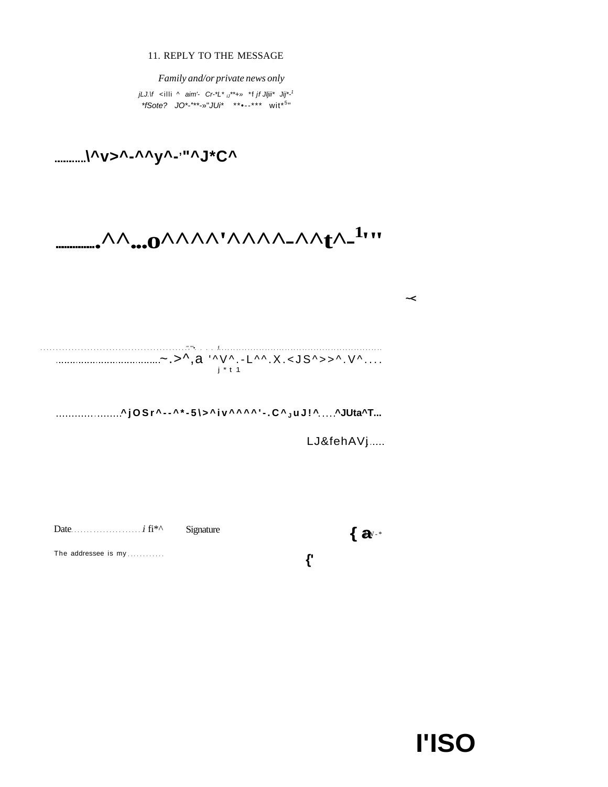11. REPLY TO THE MESSAGE

Family and/or private news only jLJ.\f <illi ^ aim'-  $Cr^{-*}L^*$   $_{ij}$ \*\*+» \*f jf Jljii\* Jij\*-<sup>1</sup> \*fSote?  $JO^{*-***-}$ "JUi\* \*\*\*--\*\*\* wit\*<sup>5</sup>"

...........\^v>^-^^y^-<sup>,</sup>"^J\*C^

------•^^...0^^^^^^^^^^^^\_^^{^\_<sup>1</sup>'''

| i * t 1 |
|---------|
|         |

....................^jOSr^--^\*-5\>^iv^^^^'-.C^<sub>JUJ!^....</sub>^JUta^T...

LJ&fehAVj.....

 $\prec$ 

Date  $\ldots$   $i$  fi<sup>\*^</sup>

Signature

 $\{a^{v,*}\}$ 

The addressee is my...........

 $\mathbf{f}^{\prime}$ 

**I'ISO**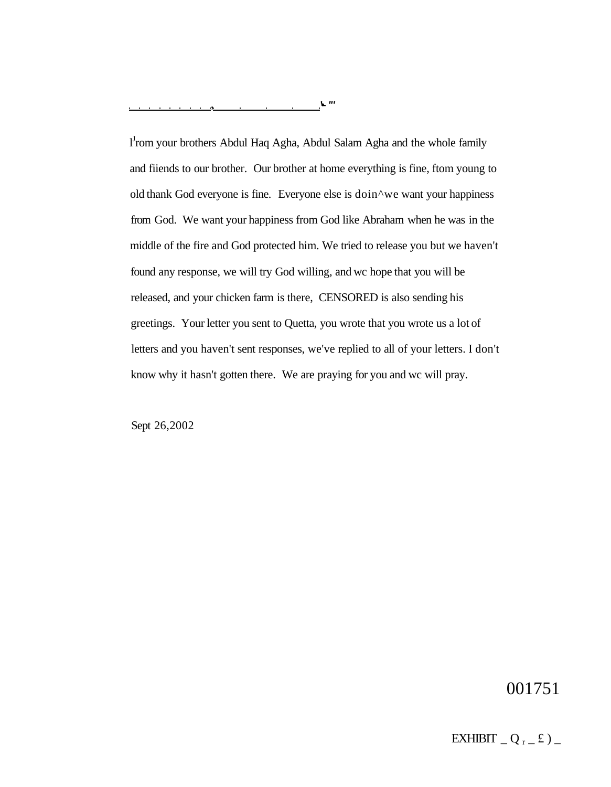l<sup>I</sup>rom your brothers Abdul Haq Agha, Abdul Salam Agha and the whole family and fiiends to our brother. Our brother at home everything is fine, ftom young to old thank God everyone is fine. Everyone else is doin^we want your happiness from God. We want your happiness from God like Abraham when he was in the middle of the fire and God protected him. We tried to release you but we haven't found any response, we will try God willing, and wc hope that you will be released, and your chicken farm is there, CENSORED is also sending his greetings. Your letter you sent to Quetta, you wrote that you wrote us a lot of letters and you haven't sent responses, we've replied to all of your letters. I don't know why it hasn't gotten there. We are praying for you and wc will pray.

Sept 26,2002

001751

EXHIBIT  $_Q$ <sub>r</sub> $_E$ )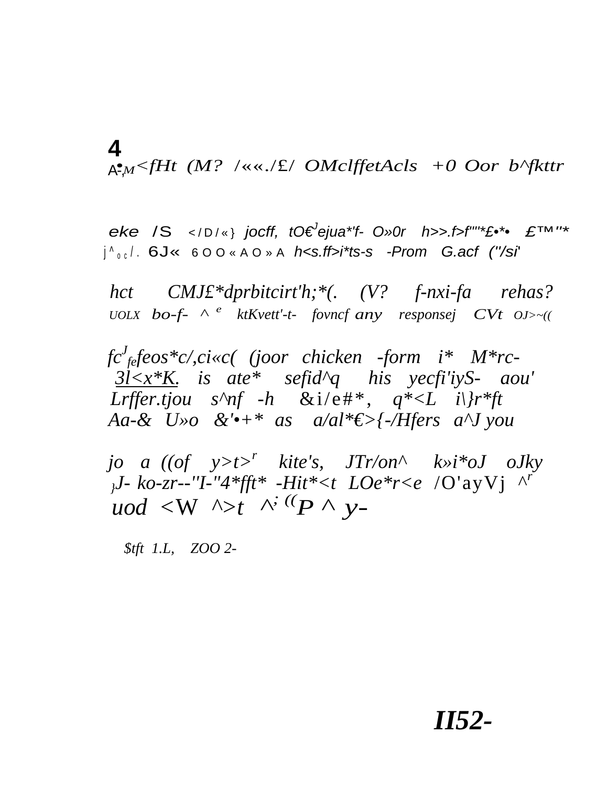4  $A^2M \leq fHt$  (M? /««./£/ OMclffetAcls +0 Oor b^fkttr

eke /S </D/\*} jocff, t0 ejua \*'f- 0" or h >> f > f"" \* f \*\*  $\mathcal{L}^{TM''*}$  $|{}^{\wedge}$ <sub>00</sub> $|$ . 6J« 600«A0»A h<s.ff>i\*ts-s -Prom G.acf ("/si

hct  $CMJ\pounds^*dprbitcirt'h; *$ (. (V? f-nxi-fa rehas? UOLX  $\mathbf{bo}\text{-}f$ -  $\wedge$  <sup>e</sup> ktKvett'-t- fovncf any responsej  $\mathbf{CV}$ t  $\mathbf{O}$ J>~((

 $\int c'_{\text{fe}} f \text{e} \cos \text{E} c / c \text{i} \ll c$  (joor chicken -form  $i^*$  M<sup>\*</sup>rc- $3l \le x*K$  is ate\* sefid^q his yecfi'iyS- aou' Lrffer.tjou s^nf -h &i/e#\*,  $q^*\lt L$  i\}r\*ft Aa-& U»o &' $\cdot$ +\* as a/al\* $\epsilon$ >{-/Hers a^J you

jo a  $((of \ y> t>^r$  kite's,  $JTr/on^{\wedge}$  k»i\*oJ oJky  $J - k0-zr$ --''I-''4\*fft\* -Hit\*<t LOe\*r<e /O'ayVj ^' uod <W  $\wedge$ >t  $\wedge^{\cdot}$  (P  $\wedge$  y-

 $$tft$  1.L, ZOO 2-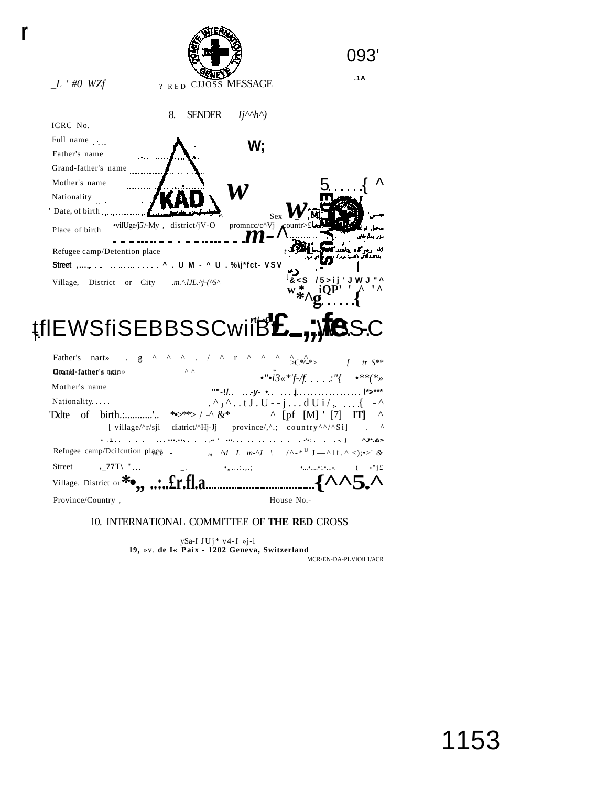

ySa-f JUj\* v4-f »j-i<br>19, »v. de I« Paix - 1202 Geneva, Switzerland MCR/EN-DA-PLVIOil 1/ACR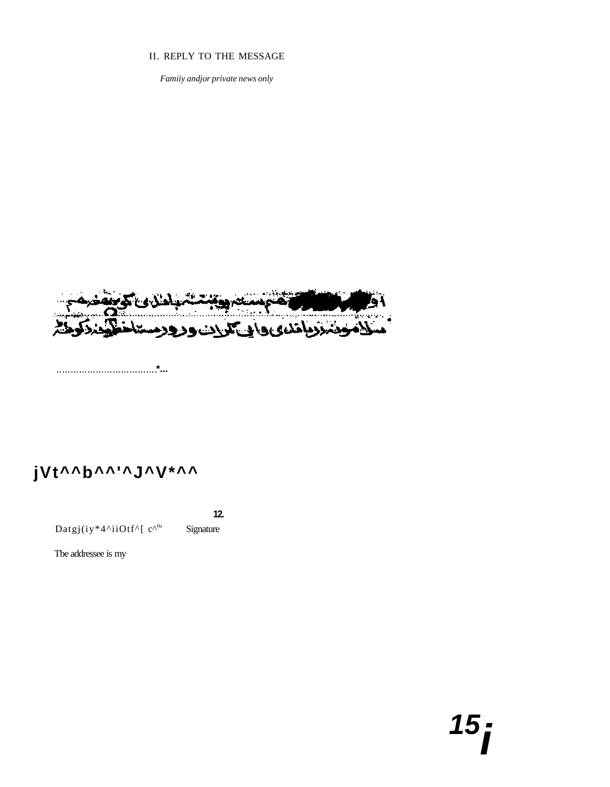#### II. REPLY TO THE MESSAGE

Famiiy andjor private news only



# jVt^^b^^'^J^V\*^^

Datgj(iy\*4^iiOtf^[ c^u,

Signature

 $12.$ 

Tbe addressee is my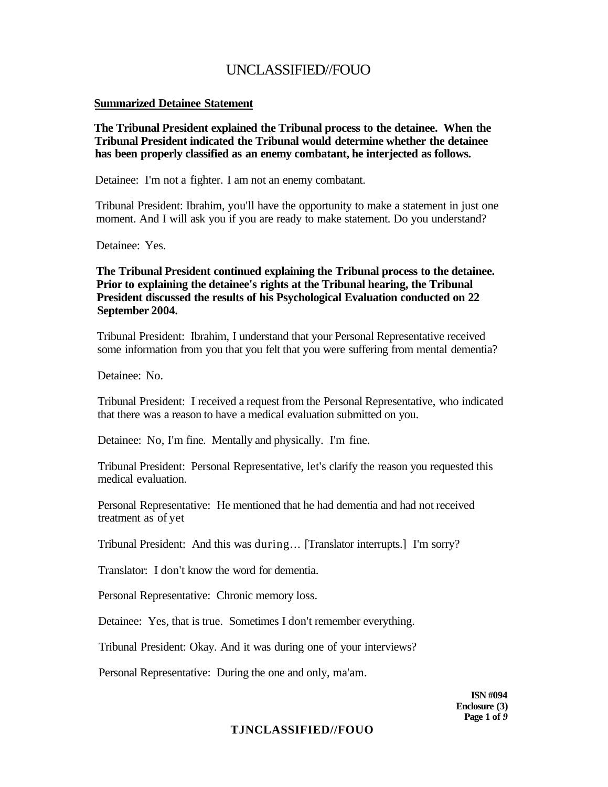### **Summarized Detainee Statement**

**The Tribunal President explained the Tribunal process to the detainee. When the Tribunal President indicated the Tribunal would determine whether the detainee has been properly classified as an enemy combatant, he interjected as follows.** 

Detainee: I'm not a fighter. I am not an enemy combatant.

Tribunal President: Ibrahim, you'll have the opportunity to make a statement in just one moment. And I will ask you if you are ready to make statement. Do you understand?

Detainee: Yes.

**The Tribunal President continued explaining the Tribunal process to the detainee. Prior to explaining the detainee's rights at the Tribunal hearing, the Tribunal President discussed the results of his Psychological Evaluation conducted on 22 September 2004.** 

Tribunal President: Ibrahim, I understand that your Personal Representative received some information from you that you felt that you were suffering from mental dementia?

Detainee: No.

Tribunal President: I received a request from the Personal Representative, who indicated that there was a reason to have a medical evaluation submitted on you.

Detainee: No, I'm fine. Mentally and physically. I'm fine.

Tribunal President: Personal Representative, let's clarify the reason you requested this medical evaluation.

Personal Representative: He mentioned that he had dementia and had not received treatment as of yet

Tribunal President: And this was during... [Translator interrupts.] I'm sorry?

Translator: I don't know the word for dementia.

Personal Representative: Chronic memory loss.

Detainee: Yes, that is true. Sometimes I don't remember everything.

Tribunal President: Okay. And it was during one of your interviews?

Personal Representative: During the one and only, ma'am.

**ISN #094 Enclosure (3) Page 1 of** *9* 

### **TJNCLASSIFIED//FOUO**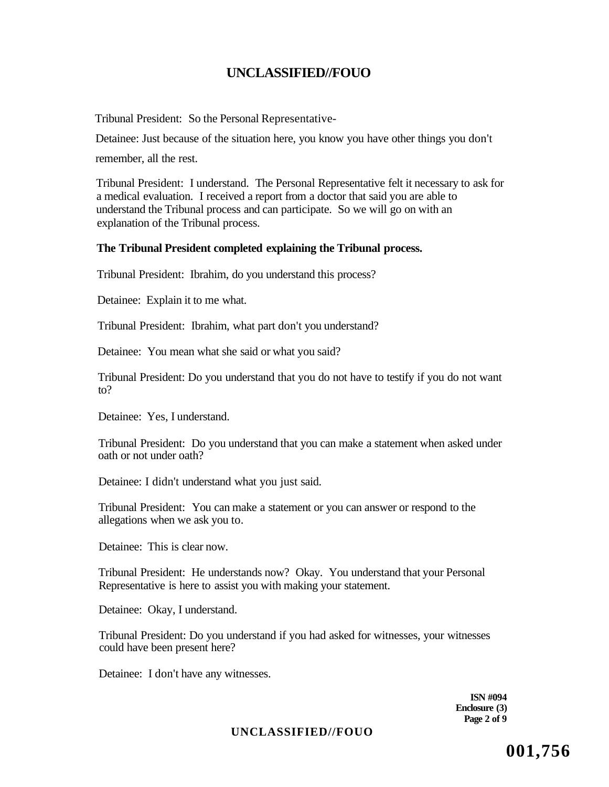Tribunal President: So the Personal Representative-

Detainee: Just because of the situation here, you know you have other things you don't

remember, all the rest.

Tribunal President: I understand. The Personal Representative felt it necessary to ask for a medical evaluation. I received a report from a doctor that said you are able to understand the Tribunal process and can participate. So we will go on with an explanation of the Tribunal process.

### **The Tribunal President completed explaining the Tribunal process.**

Tribunal President: Ibrahim, do you understand this process?

Detainee: Explain it to me what.

Tribunal President: Ibrahim, what part don't you understand?

Detainee: You mean what she said or what you said?

Tribunal President: Do you understand that you do not have to testify if you do not want to?

Detainee: Yes, I understand.

Tribunal President: Do you understand that you can make a statement when asked under oath or not under oath?

Detainee: I didn't understand what you just said.

Tribunal President: You can make a statement or you can answer or respond to the allegations when we ask you to.

Detainee: This is clear now.

Tribunal President: He understands now? Okay. You understand that your Personal Representative is here to assist you with making your statement.

Detainee: Okay, I understand.

Tribunal President: Do you understand if you had asked for witnesses, your witnesses could have been present here?

Detainee: I don't have any witnesses.

**ISN #094 Enclosure (3) Page 2 of 9** 

### **UNCLASSIFIED//FOUO**

**001,756**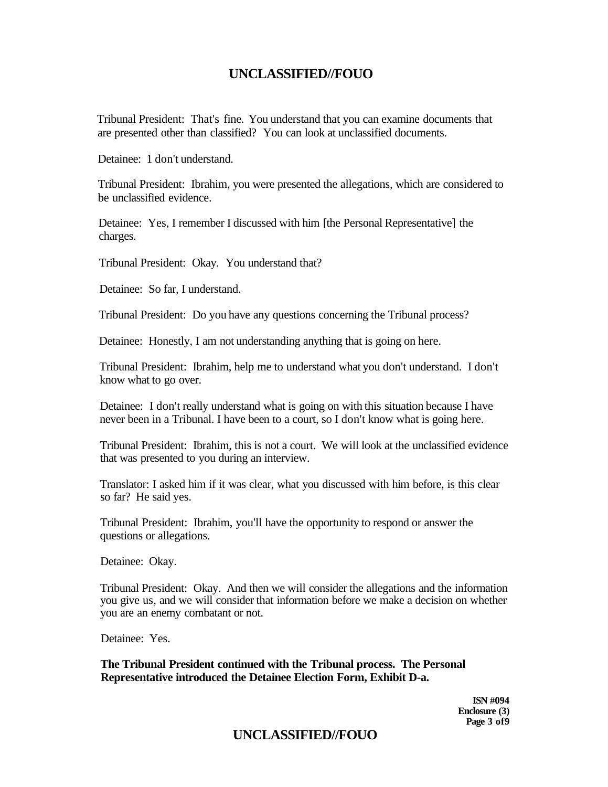Tribunal President: That's fine. You understand that you can examine documents that are presented other than classified? You can look at unclassified documents.

Detainee: 1 don't understand.

Tribunal President: Ibrahim, you were presented the allegations, which are considered to be unclassified evidence.

Detainee: Yes, I remember I discussed with him [the Personal Representative] the charges.

Tribunal President: Okay. You understand that?

Detainee: So far, I understand.

Tribunal President: Do you have any questions concerning the Tribunal process?

Detainee: Honestly, I am not understanding anything that is going on here.

Tribunal President: Ibrahim, help me to understand what you don't understand. I don't know what to go over.

Detainee: I don't really understand what is going on with this situation because I have never been in a Tribunal. I have been to a court, so I don't know what is going here.

Tribunal President: Ibrahim, this is not a court. We will look at the unclassified evidence that was presented to you during an interview.

Translator: I asked him if it was clear, what you discussed with him before, is this clear so far? He said yes.

Tribunal President: Ibrahim, you'll have the opportunity to respond or answer the questions or allegations.

Detainee: Okay.

Tribunal President: Okay. And then we will consider the allegations and the information you give us, and we will consider that information before we make a decision on whether you are an enemy combatant or not.

Detainee: Yes.

**The Tribunal President continued with the Tribunal process. The Personal Representative introduced the Detainee Election Form, Exhibit D-a.** 

> **ISN #094 Enclosure (3) Page 3 of9**

# **UNCLASSIFIED//FOUO**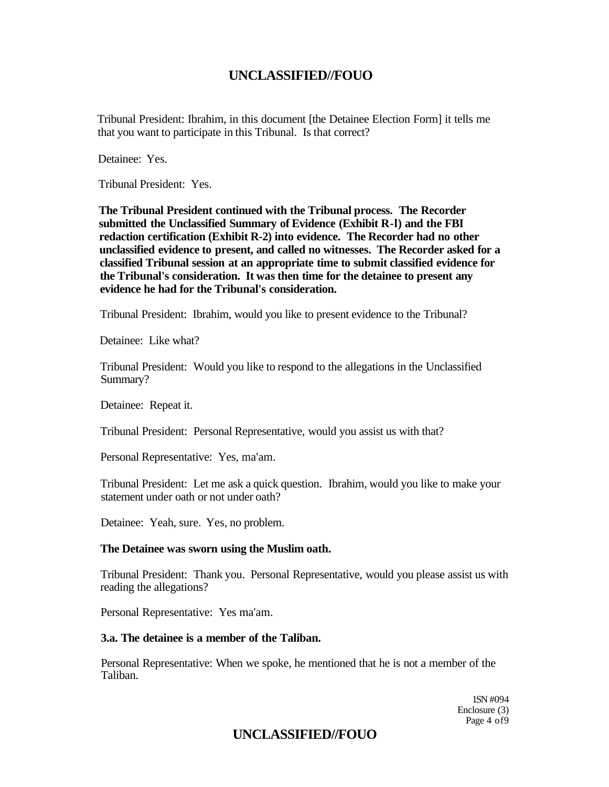Tribunal President: Ibrahim, in this document [the Detainee Election Form] it tells me that you want to participate in this Tribunal. Is that correct?

Detainee: Yes.

Tribunal President: Yes.

**The Tribunal President continued with the Tribunal process. The Recorder submitted the Unclassified Summary of Evidence (Exhibit R-l) and the FBI redaction certification (Exhibit R-2) into evidence. The Recorder had no other unclassified evidence to present, and called no witnesses. The Recorder asked for a classified Tribunal session at an appropriate time to submit classified evidence for the Tribunal's consideration. It was then time for the detainee to present any evidence he had for the Tribunal's consideration.** 

Tribunal President: Ibrahim, would you like to present evidence to the Tribunal?

Detainee: Like what?

Tribunal President: Would you like to respond to the allegations in the Unclassified Summary?

Detainee: Repeat it.

Tribunal President: Personal Representative, would you assist us with that?

Personal Representative: Yes, ma'am.

Tribunal President: Let me ask a quick question. Ibrahim, would you like to make your statement under oath or not under oath?

Detainee: Yeah, sure. Yes, no problem.

### **The Detainee was sworn using the Muslim oath.**

Tribunal President: Thank you. Personal Representative, would you please assist us with reading the allegations?

Personal Representative: Yes ma'am.

### **3.a. The detainee is a member of the Taliban.**

Personal Representative: When we spoke, he mentioned that he is not a member of the Taliban.

> 1SN #094 Enclosure (3) Page 4 of9

## **UNCLASSIFIED//FOUO**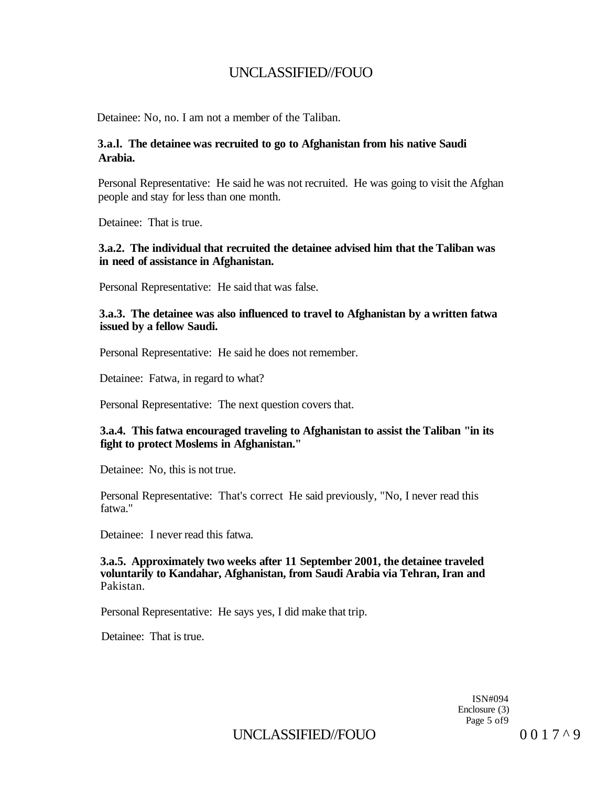Detainee: No, no. I am not a member of the Taliban.

### **3.a.l. The detainee was recruited to go to Afghanistan from his native Saudi Arabia.**

Personal Representative: He said he was not recruited. He was going to visit the Afghan people and stay for less than one month.

Detainee: That is true.

### **3.a.2. The individual that recruited the detainee advised him that the Taliban was in need of assistance in Afghanistan.**

Personal Representative: He said that was false.

### **3.a.3. The detainee was also influenced to travel to Afghanistan by a written fatwa issued by a fellow Saudi.**

Personal Representative: He said he does not remember.

Detainee: Fatwa, in regard to what?

Personal Representative: The next question covers that.

### **3.a.4. This fatwa encouraged traveling to Afghanistan to assist the Taliban "in its fight to protect Moslems in Afghanistan."**

Detainee: No, this is not true.

Personal Representative: That's correct He said previously, "No, I never read this fatwa."

Detainee: I never read this fatwa.

#### **3.a.5. Approximately two weeks after 11 September 2001, the detainee traveled voluntarily to Kandahar, Afghanistan, from Saudi Arabia via Tehran, Iran and**  Pakistan.

Personal Representative: He says yes, I did make that trip.

Detainee: That is true.

ISN#094 Enclosure (3) Page 5 of9

UNCLASSIFIED//FOUO  $0017^{\wedge}9$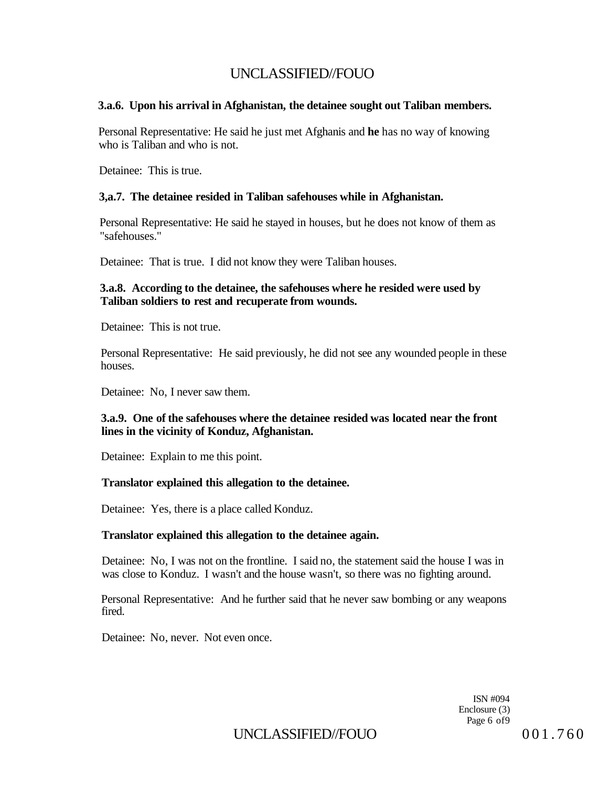### **3.a.6. Upon his arrival in Afghanistan, the detainee sought out Taliban members.**

Personal Representative: He said he just met Afghanis and **he** has no way of knowing who is Taliban and who is not.

Detainee: This is true.

### **3,a.7. The detainee resided in Taliban safehouses while in Afghanistan.**

Personal Representative: He said he stayed in houses, but he does not know of them as "safehouses."

Detainee: That is true. I did not know they were Taliban houses.

### **3.a.8. According to the detainee, the safehouses where he resided were used by Taliban soldiers to rest and recuperate from wounds.**

Detainee: This is not true.

Personal Representative: He said previously, he did not see any wounded people in these houses.

Detainee: No, I never saw them.

### **3.a.9. One of the safehouses where the detainee resided was located near the front lines in the vicinity of Konduz, Afghanistan.**

Detainee: Explain to me this point.

#### **Translator explained this allegation to the detainee.**

Detainee: Yes, there is a place called Konduz.

#### **Translator explained this allegation to the detainee again.**

Detainee: No, I was not on the frontline. I said no, the statement said the house I was in was close to Konduz. I wasn't and the house wasn't, so there was no fighting around.

Personal Representative: And he further said that he never saw bombing or any weapons fired.

Detainee: No, never. Not even once.

ISN #094 Enclosure (3) Page 6 of 9

UNCLASSIFIED//FOUO 001.760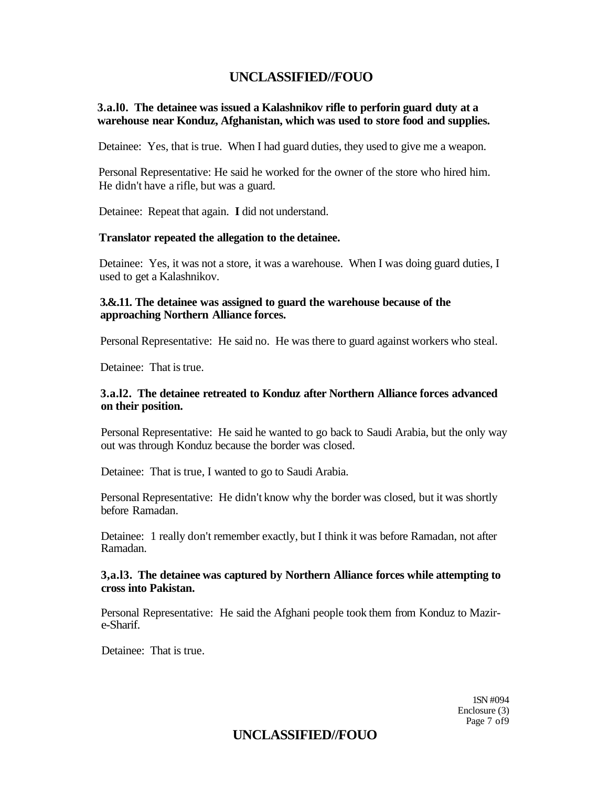### **3.a.l0. The detainee was issued a Kalashnikov rifle to perforin guard duty at a warehouse near Konduz, Afghanistan, which was used to store food and supplies.**

Detainee: Yes, that is true. When I had guard duties, they used to give me a weapon.

Personal Representative: He said he worked for the owner of the store who hired him. He didn't have a rifle, but was a guard.

Detainee: Repeat that again. **I** did not understand.

### **Translator repeated the allegation to the detainee.**

Detainee: Yes, it was not a store, it was a warehouse. When I was doing guard duties, I used to get a Kalashnikov.

### **3.&.11. The detainee was assigned to guard the warehouse because of the approaching Northern Alliance forces.**

Personal Representative: He said no. He was there to guard against workers who steal.

Detainee: That is true.

### **3.a.l2. The detainee retreated to Konduz after Northern Alliance forces advanced on their position.**

Personal Representative: He said he wanted to go back to Saudi Arabia, but the only way out was through Konduz because the border was closed.

Detainee: That is true, I wanted to go to Saudi Arabia.

Personal Representative: He didn't know why the border was closed, but it was shortly before Ramadan.

Detainee: 1 really don't remember exactly, but I think it was before Ramadan, not after Ramadan.

### **3,a.l3. The detainee was captured by Northern Alliance forces while attempting to cross into Pakistan.**

Personal Representative: He said the Afghani people took them from Konduz to Mazire-Sharif.

Detainee: That is true.

1SN #094 Enclosure (3) Page 7 of9

# **UNCLASSIFIED//FOUO**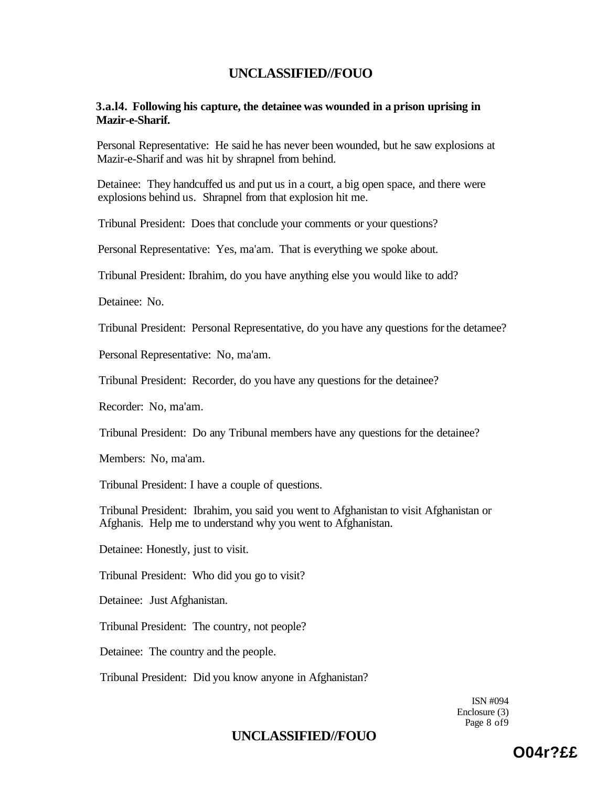### **3.a.l4. Following his capture, the detainee was wounded in a prison uprising in Mazir-e-Sharif.**

Personal Representative: He said he has never been wounded, but he saw explosions at Mazir-e-Sharif and was hit by shrapnel from behind.

Detainee: They handcuffed us and put us in a court, a big open space, and there were explosions behind us. Shrapnel from that explosion hit me.

Tribunal President: Does that conclude your comments or your questions?

Personal Representative: Yes, ma'am. That is everything we spoke about.

Tribunal President: Ibrahim, do you have anything else you would like to add?

Detainee: No.

Tribunal President: Personal Representative, do you have any questions for the detamee?

Personal Representative: No, ma'am.

Tribunal President: Recorder, do you have any questions for the detainee?

Recorder: No, ma'am.

Tribunal President: Do any Tribunal members have any questions for the detainee?

Members: No, ma'am.

Tribunal President: I have a couple of questions.

Tribunal President: Ibrahim, you said you went to Afghanistan to visit Afghanistan or Afghanis. Help me to understand why you went to Afghanistan.

Detainee: Honestly, just to visit.

Tribunal President: Who did you go to visit?

Detainee: Just Afghanistan.

Tribunal President: The country, not people?

Detainee: The country and the people.

Tribunal President: Did you know anyone in Afghanistan?

ISN #094 Enclosure (3) Page 8 of9

# **UNCLASSIFIED//FOUO**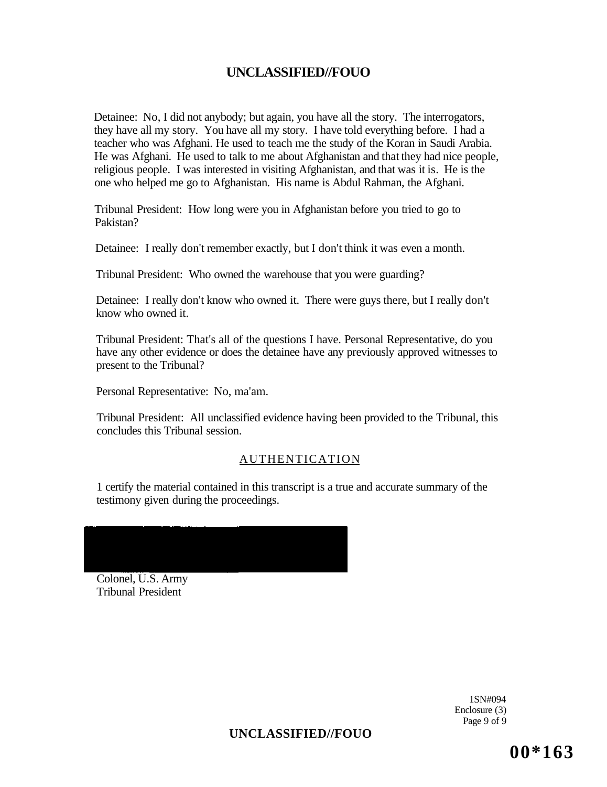Detainee: No, I did not anybody; but again, you have all the story. The interrogators, they have all my story. You have all my story. I have told everything before. I had a teacher who was Afghani. He used to teach me the study of the Koran in Saudi Arabia. He was Afghani. He used to talk to me about Afghanistan and that they had nice people, religious people. I was interested in visiting Afghanistan, and that was it is. He is the one who helped me go to Afghanistan. His name is Abdul Rahman, the Afghani.

Tribunal President: How long were you in Afghanistan before you tried to go to Pakistan?

Detainee: I really don't remember exactly, but I don't think it was even a month.

Tribunal President: Who owned the warehouse that you were guarding?

Detainee: I really don't know who owned it. There were guys there, but I really don't know who owned it.

Tribunal President: That's all of the questions I have. Personal Representative, do you have any other evidence or does the detainee have any previously approved witnesses to present to the Tribunal?

Personal Representative: No, ma'am.

Tribunal President: All unclassified evidence having been provided to the Tribunal, this concludes this Tribunal session.

### AUTHENTICATION

1 certify the material contained in this transcript is a true and accurate summary of the testimony given during the proceedings.

Colonel, U.S. Army Tribunal President

> 1SN#094 Enclosure (3) Page 9 of 9

**UNCLASSIFIED//FOUO** 

**00\*163**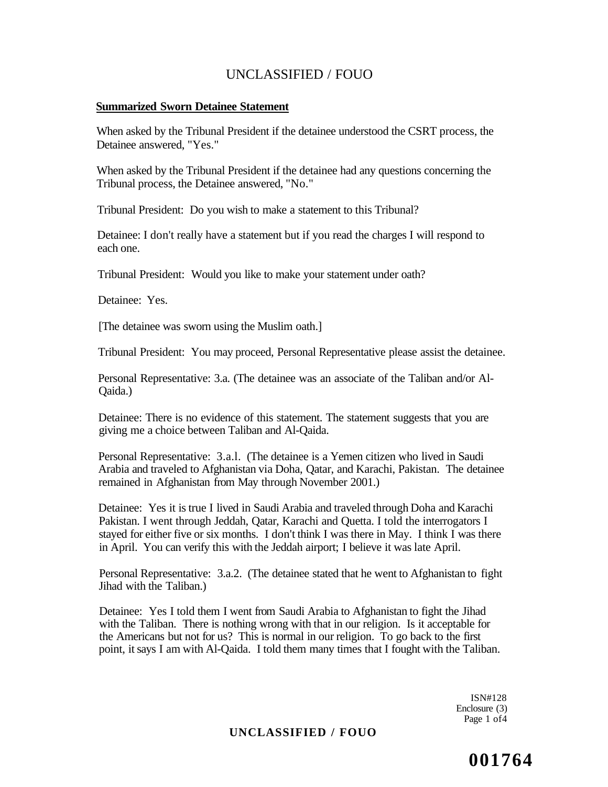### **Summarized Sworn Detainee Statement**

When asked by the Tribunal President if the detainee understood the CSRT process, the Detainee answered, "Yes."

When asked by the Tribunal President if the detainee had any questions concerning the Tribunal process, the Detainee answered, "No."

Tribunal President: Do you wish to make a statement to this Tribunal?

Detainee: I don't really have a statement but if you read the charges I will respond to each one.

Tribunal President: Would you like to make your statement under oath?

Detainee: Yes.

[The detainee was sworn using the Muslim oath.]

Tribunal President: You may proceed, Personal Representative please assist the detainee.

Personal Representative: 3.a. (The detainee was an associate of the Taliban and/or Al-Qaida.)

Detainee: There is no evidence of this statement. The statement suggests that you are giving me a choice between Taliban and Al-Qaida.

Personal Representative: 3.a.l. (The detainee is a Yemen citizen who lived in Saudi Arabia and traveled to Afghanistan via Doha, Qatar, and Karachi, Pakistan. The detainee remained in Afghanistan from May through November 2001.)

Detainee: Yes it is true I lived in Saudi Arabia and traveled through Doha and Karachi Pakistan. I went through Jeddah, Qatar, Karachi and Quetta. I told the interrogators I stayed for either five or six months. I don't think I was there in May. I think I was there in April. You can verify this with the Jeddah airport; I believe it was late April.

Personal Representative: 3.a.2. (The detainee stated that he went to Afghanistan to fight Jihad with the Taliban.)

Detainee: Yes I told them I went from Saudi Arabia to Afghanistan to fight the Jihad with the Taliban. There is nothing wrong with that in our religion. Is it acceptable for the Americans but not for us? This is normal in our religion. To go back to the first point, it says I am with Al-Qaida. I told them many times that I fought with the Taliban.

> ISN#128 Enclosure (3) Page 1 of4

### **UNCLASSIFIED / FOUO**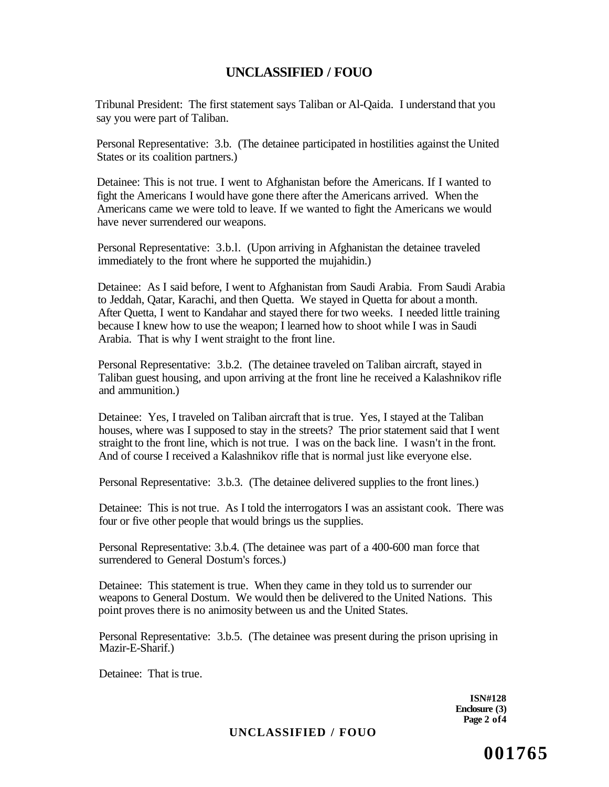Tribunal President: The first statement says Taliban or Al-Qaida. I understand that you say you were part of Taliban.

Personal Representative: 3.b. (The detainee participated in hostilities against the United States or its coalition partners.)

Detainee: This is not true. I went to Afghanistan before the Americans. If I wanted to fight the Americans I would have gone there after the Americans arrived. When the Americans came we were told to leave. If we wanted to fight the Americans we would have never surrendered our weapons.

Personal Representative: 3.b.l. (Upon arriving in Afghanistan the detainee traveled immediately to the front where he supported the mujahidin.)

Detainee: As I said before, I went to Afghanistan from Saudi Arabia. From Saudi Arabia to Jeddah, Qatar, Karachi, and then Quetta. We stayed in Quetta for about a month. After Quetta, I went to Kandahar and stayed there for two weeks. I needed little training because I knew how to use the weapon; I learned how to shoot while I was in Saudi Arabia. That is why I went straight to the front line.

Personal Representative: 3.b.2. (The detainee traveled on Taliban aircraft, stayed in Taliban guest housing, and upon arriving at the front line he received a Kalashnikov rifle and ammunition.)

Detainee: Yes, I traveled on Taliban aircraft that is true. Yes, I stayed at the Taliban houses, where was I supposed to stay in the streets? The prior statement said that I went straight to the front line, which is not true. I was on the back line. I wasn't in the front. And of course I received a Kalashnikov rifle that is normal just like everyone else.

Personal Representative: 3.b.3. (The detainee delivered supplies to the front lines.)

Detainee: This is not true. As I told the interrogators I was an assistant cook. There was four or five other people that would brings us the supplies.

Personal Representative: 3.b.4. (The detainee was part of a 400-600 man force that surrendered to General Dostum's forces.)

Detainee: This statement is true. When they came in they told us to surrender our weapons to General Dostum. We would then be delivered to the United Nations. This point proves there is no animosity between us and the United States.

Personal Representative: 3.b.5. (The detainee was present during the prison uprising in Mazir-E-Sharif.)

Detainee: That is true.

**ISN#128 Enclosure (3) Page 2 of4** 

### **UNCLASSIFIED / FOUO**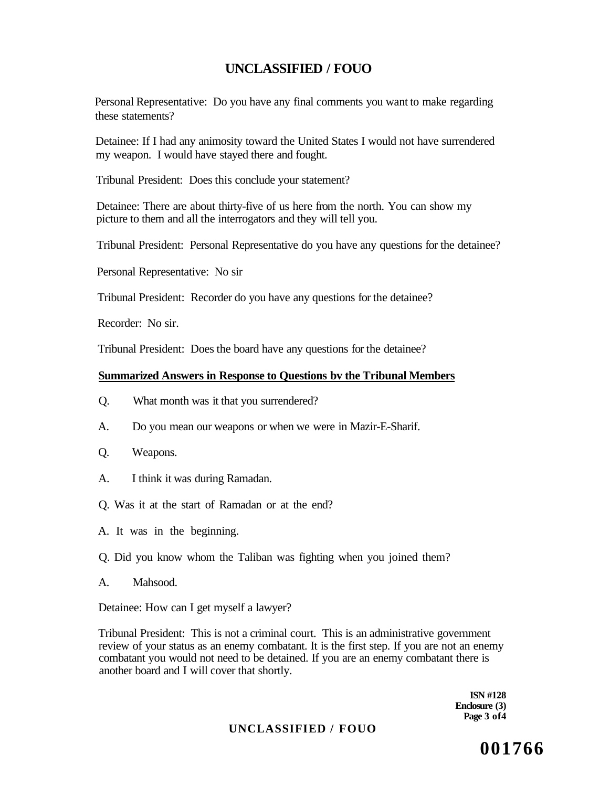Personal Representative: Do you have any final comments you want to make regarding these statements?

Detainee: If I had any animosity toward the United States I would not have surrendered my weapon. I would have stayed there and fought.

Tribunal President: Does this conclude your statement?

Detainee: There are about thirty-five of us here from the north. You can show my picture to them and all the interrogators and they will tell you.

Tribunal President: Personal Representative do you have any questions for the detainee?

Personal Representative: No sir

Tribunal President: Recorder do you have any questions for the detainee?

Recorder: No sir.

Tribunal President: Does the board have any questions for the detainee?

### **Summarized Answers in Response to Questions bv the Tribunal Members**

- Q. What month was it that you surrendered?
- A. Do you mean our weapons or when we were in Mazir-E-Sharif.
- Q. Weapons.
- A. I think it was during Ramadan.
- Q. Was it at the start of Ramadan or at the end?
- A. It was in the beginning.
- Q. Did you know whom the Taliban was fighting when you joined them?
- A. Mahsood.

Detainee: How can I get myself a lawyer?

Tribunal President: This is not a criminal court. This is an administrative government review of your status as an enemy combatant. It is the first step. If you are not an enemy combatant you would not need to be detained. If you are an enemy combatant there is another board and I will cover that shortly.

> **ISN #128 Enclosure (3) Page 3 of4**

### **UNCLASSIFIED / FOUO**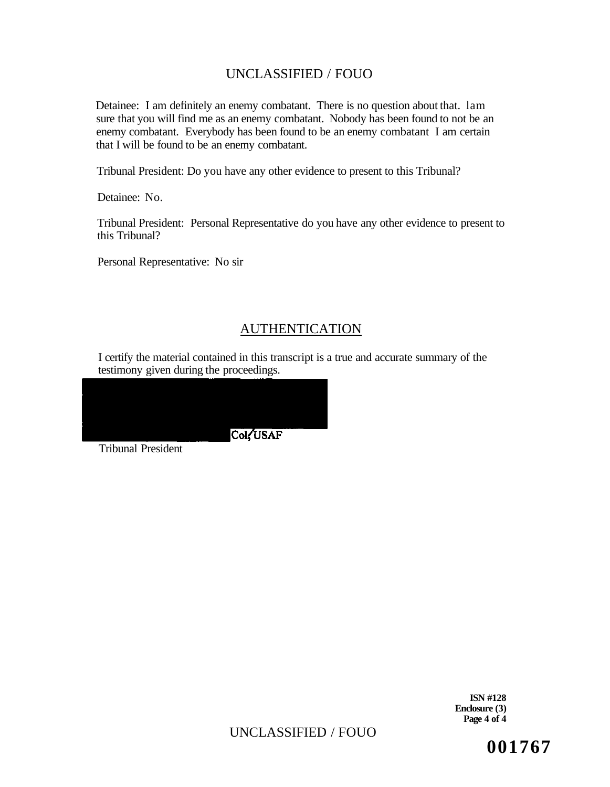Detainee: I am definitely an enemy combatant. There is no question about that. lam sure that you will find me as an enemy combatant. Nobody has been found to not be an enemy combatant. Everybody has been found to be an enemy combatant I am certain that I will be found to be an enemy combatant.

Tribunal President: Do you have any other evidence to present to this Tribunal?

Detainee: No.

Tribunal President: Personal Representative do you have any other evidence to present to this Tribunal?

Personal Representative: No sir

# AUTHENTICATION

I certify the material contained in this transcript is a true and accurate summary of the testimony given during the proceedings.

Col: USAF

Tribunal President

**ISN #128 Enclosure (3) Page 4 of 4** 

UNCLASSIFIED / FOUO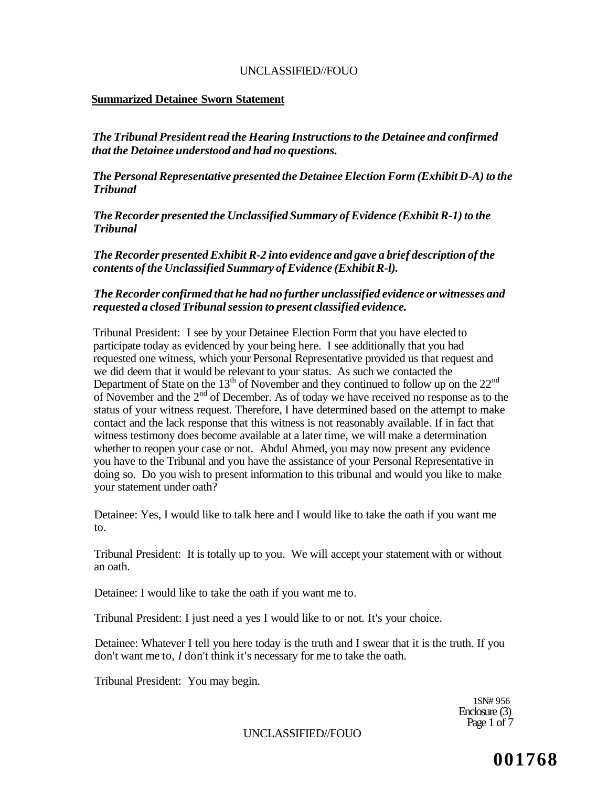### **Summarized Detainee Sworn Statement**

*The Tribunal President read the Hearing Instructions to the Detainee and confirmed that the Detainee understood and had no questions.* 

*The Personal Representative presented the Detainee Election Form (Exhibit D-A) to the Tribunal* 

*The Recorder presented the Unclassified Summary of Evidence (Exhibit R-1) to the Tribunal* 

*The Recorder presented Exhibit R-2 into evidence and gave a brief description of the contents of the Unclassified Summary of Evidence (Exhibit R-l).* 

### *The Recorder confirmed that he had no further unclassified evidence or witnesses and requested a closed Tribunal session to present classified evidence.*

Tribunal President: I see by your Detainee Election Form that you have elected to participate today as evidenced by your being here. I see additionally that you had requested one witness, which your Personal Representative provided us that request and we did deem that it would be relevant to your status. As such we contacted the Department of State on the  $13<sup>th</sup>$  of November and they continued to follow up on the  $22<sup>nd</sup>$ of November and the  $2<sup>nd</sup>$  of December. As of today we have received no response as to the status of your witness request. Therefore, I have determined based on the attempt to make contact and the lack response that this witness is not reasonably available. If in fact that witness testimony does become available at a later time, we will make a determination whether to reopen your case or not. Abdul Ahmed, you may now present any evidence you have to the Tribunal and you have the assistance of your Personal Representative in doing so. Do you wish to present information to this tribunal and would you like to make your statement under oath?

Detainee: Yes, I would like to talk here and I would like to take the oath if you want me to.

Tribunal President: It is totally up to you. We will accept your statement with or without an oath.

Detainee: I would like to take the oath if you want me to.

Tribunal President: I just need a yes I would like to or not. It's your choice.

Detainee: Whatever I tell you here today is the truth and I swear that it is the truth. If you don't want me to, *I* don't think it's necessary for me to take the oath.

Tribunal President: You may begin.

1SN# 956 Enclosure (3) Page 1 of  $7$ 

UNCLASSIFIED//FOUO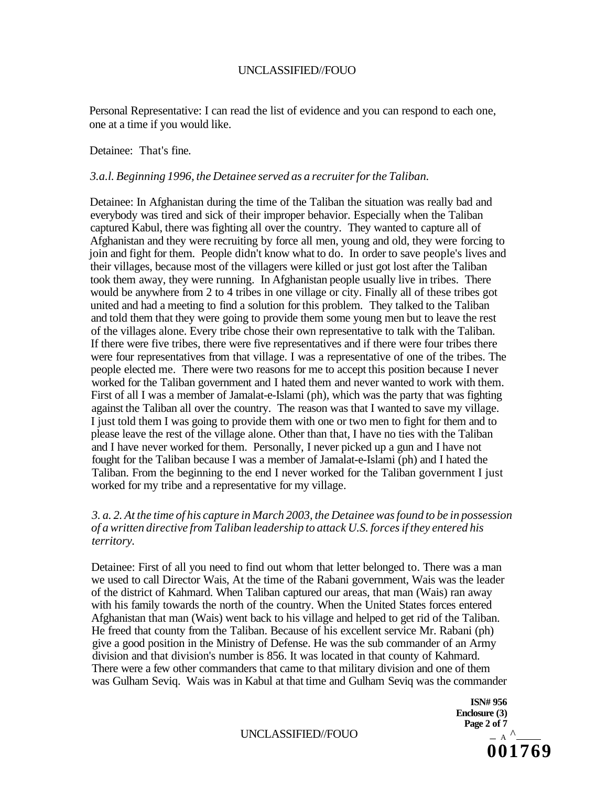Personal Representative: I can read the list of evidence and you can respond to each one, one at a time if you would like.

#### Detainee: That's fine.

#### *3.a.l. Beginning 1996, the Detainee served as a recruiter for the Taliban.*

Detainee: In Afghanistan during the time of the Taliban the situation was really bad and everybody was tired and sick of their improper behavior. Especially when the Taliban captured Kabul, there was fighting all over the country. They wanted to capture all of Afghanistan and they were recruiting by force all men, young and old, they were forcing to join and fight for them. People didn't know what to do. In order to save people's lives and their villages, because most of the villagers were killed or just got lost after the Taliban took them away, they were running. In Afghanistan people usually live in tribes. There would be anywhere from 2 to 4 tribes in one village or city. Finally all of these tribes got united and had a meeting to find a solution for this problem. They talked to the Taliban and told them that they were going to provide them some young men but to leave the rest of the villages alone. Every tribe chose their own representative to talk with the Taliban. If there were five tribes, there were five representatives and if there were four tribes there were four representatives from that village. I was a representative of one of the tribes. The people elected me. There were two reasons for me to accept this position because I never worked for the Taliban government and I hated them and never wanted to work with them. First of all I was a member of Jamalat-e-Islami (ph), which was the party that was fighting against the Taliban all over the country. The reason was that I wanted to save my village. I just told them I was going to provide them with one or two men to fight for them and to please leave the rest of the village alone. Other than that, I have no ties with the Taliban and I have never worked for them. Personally, I never picked up a gun and I have not fought for the Taliban because I was a member of Jamalat-e-Islami (ph) and I hated the Taliban. From the beginning to the end I never worked for the Taliban government I just worked for my tribe and a representative for my village.

### *3. a. 2. At the time of his capture in March 2003, the Detainee was found to be in possession of a written directive from Taliban leadership to attack U.S. forces if they entered his territory.*

Detainee: First of all you need to find out whom that letter belonged to. There was a man we used to call Director Wais, At the time of the Rabani government, Wais was the leader of the district of Kahmard. When Taliban captured our areas, that man (Wais) ran away with his family towards the north of the country. When the United States forces entered Afghanistan that man (Wais) went back to his village and helped to get rid of the Taliban. He freed that county from the Taliban. Because of his excellent service Mr. Rabani (ph) give a good position in the Ministry of Defense. He was the sub commander of an Army division and that division's number is 856. It was located in that county of Kahmard. There were a few other commanders that came to that military division and one of them was Gulham Seviq. Wais was in Kabul at that time and Gulham Seviq was the commander

UNCLASSIFIED//FOUO

**ISN# 956 Enclosure (3)**  Page 2 of 7<br> $-$  A  $\wedge$ **001769**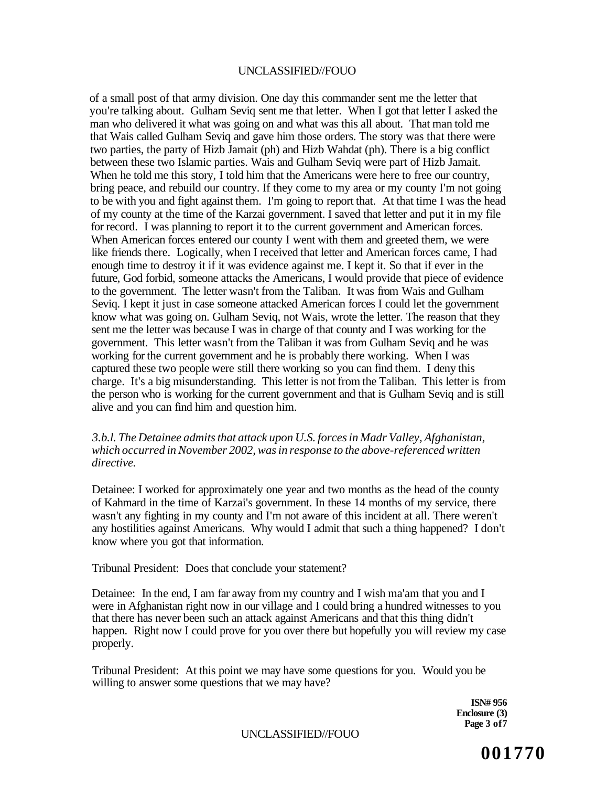of a small post of that army division. One day this commander sent me the letter that you're talking about. Gulham Seviq sent me that letter. When I got that letter I asked the man who delivered it what was going on and what was this all about. That man told me that Wais called Gulham Seviq and gave him those orders. The story was that there were two parties, the party of Hizb Jamait (ph) and Hizb Wahdat (ph). There is a big conflict between these two Islamic parties. Wais and Gulham Seviq were part of Hizb Jamait. When he told me this story, I told him that the Americans were here to free our country, bring peace, and rebuild our country. If they come to my area or my county I'm not going to be with you and fight against them. I'm going to report that. At that time I was the head of my county at the time of the Karzai government. I saved that letter and put it in my file for record. I was planning to report it to the current government and American forces. When American forces entered our county I went with them and greeted them, we were like friends there. Logically, when I received that letter and American forces came, I had enough time to destroy it if it was evidence against me. I kept it. So that if ever in the future, God forbid, someone attacks the Americans, I would provide that piece of evidence to the government. The letter wasn't from the Taliban. It was from Wais and Gulham Seviq. I kept it just in case someone attacked American forces I could let the government know what was going on. Gulham Seviq, not Wais, wrote the letter. The reason that they sent me the letter was because I was in charge of that county and I was working for the government. This letter wasn't from the Taliban it was from Gulham Seviq and he was working for the current government and he is probably there working. When I was captured these two people were still there working so you can find them. I deny this charge. It's a big misunderstanding. This letter is not from the Taliban. This letter is from the person who is working for the current government and that is Gulham Seviq and is still alive and you can find him and question him.

### *3.b.l. The Detainee admits that attack upon U.S. forces in Madr Valley, Afghanistan, which occurred in November 2002, was in response to the above-referenced written directive.*

Detainee: I worked for approximately one year and two months as the head of the county of Kahmard in the time of Karzai's government. In these 14 months of my service, there wasn't any fighting in my county and I'm not aware of this incident at all. There weren't any hostilities against Americans. Why would I admit that such a thing happened? I don't know where you got that information.

Tribunal President: Does that conclude your statement?

Detainee: In the end, I am far away from my country and I wish ma'am that you and I were in Afghanistan right now in our village and I could bring a hundred witnesses to you that there has never been such an attack against Americans and that this thing didn't happen. Right now I could prove for you over there but hopefully you will review my case properly.

Tribunal President: At this point we may have some questions for you. Would you be willing to answer some questions that we may have?

> **ISN# 956 Enclosure (3) Page 3 of7**

UNCLASSIFIED//FOUO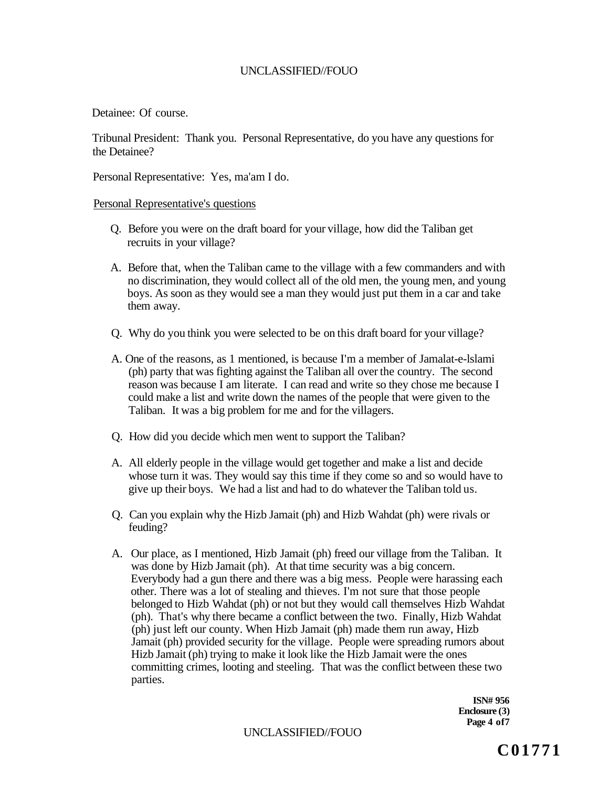Detainee: Of course.

Tribunal President: Thank you. Personal Representative, do you have any questions for the Detainee?

Personal Representative: Yes, ma'am I do.

Personal Representative's questions

- Q. Before you were on the draft board for your village, how did the Taliban get recruits in your village?
- A. Before that, when the Taliban came to the village with a few commanders and with no discrimination, they would collect all of the old men, the young men, and young boys. As soon as they would see a man they would just put them in a car and take them away.
- Q. Why do you think you were selected to be on this draft board for your village?
- A. One of the reasons, as 1 mentioned, is because I'm a member of Jamalat-e-lslami (ph) party that was fighting against the Taliban all over the country. The second reason was because I am literate. I can read and write so they chose me because I could make a list and write down the names of the people that were given to the Taliban. It was a big problem for me and for the villagers.
- Q. How did you decide which men went to support the Taliban?
- A. All elderly people in the village would get together and make a list and decide whose turn it was. They would say this time if they come so and so would have to give up their boys. We had a list and had to do whatever the Taliban told us.
- Q. Can you explain why the Hizb Jamait (ph) and Hizb Wahdat (ph) were rivals or feuding?
- A. Our place, as I mentioned, Hizb Jamait (ph) freed our village from the Taliban. It was done by Hizb Jamait (ph). At that time security was a big concern. Everybody had a gun there and there was a big mess. People were harassing each other. There was a lot of stealing and thieves. I'm not sure that those people belonged to Hizb Wahdat (ph) or not but they would call themselves Hizb Wahdat (ph). That's why there became a conflict between the two. Finally, Hizb Wahdat (ph) just left our county. When Hizb Jamait (ph) made them run away, Hizb Jamait (ph) provided security for the village. People were spreading rumors about Hizb Jamait (ph) trying to make it look like the Hizb Jamait were the ones committing crimes, looting and steeling. That was the conflict between these two parties.

**ISN# 956 Enclosure (3) Page 4 of7** 

UNCLASSIFIED//FOUO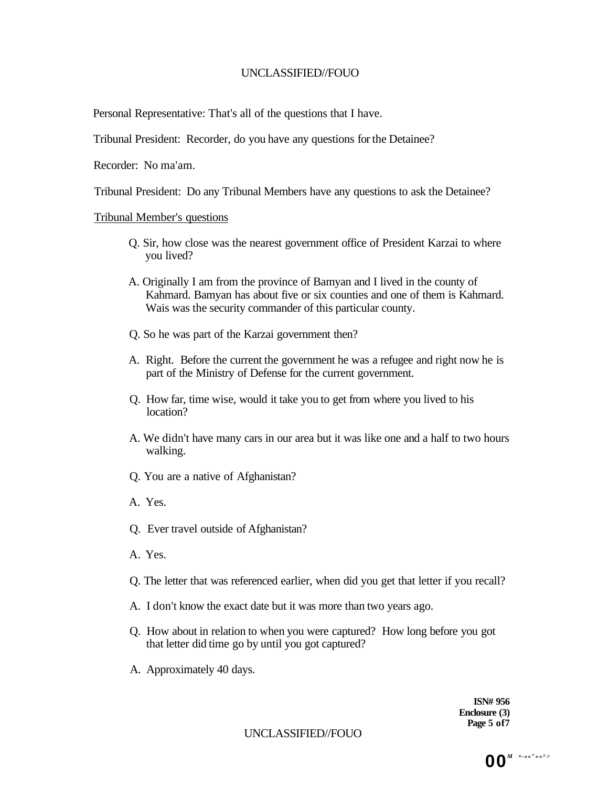Personal Representative: That's all of the questions that I have.

Tribunal President: Recorder, do you have any questions for the Detainee?

Recorder: No ma'am.

Tribunal President: Do any Tribunal Members have any questions to ask the Detainee?

### Tribunal Member's questions

- Q. Sir, how close was the nearest government office of President Karzai to where you lived?
- A. Originally I am from the province of Bamyan and I lived in the county of Kahmard. Bamyan has about five or six counties and one of them is Kahmard. Wais was the security commander of this particular county.
- Q. So he was part of the Karzai government then?
- A. Right. Before the current the government he was a refugee and right now he is part of the Ministry of Defense for the current government.
- Q. How far, time wise, would it take you to get from where you lived to his location?
- A. We didn't have many cars in our area but it was like one and a half to two hours walking.
- Q. You are a native of Afghanistan?
- A. Yes.
- Q. Ever travel outside of Afghanistan?
- A. Yes.
- Q. The letter that was referenced earlier, when did you get that letter if you recall?
- A. I don't know the exact date but it was more than two years ago.
- Q. How about in relation to when you were captured? How long before you got that letter did time go by until you got captured?
- A. Approximately 40 days.

**ISN# 956 Enclosure (3) Page 5 of7** 

UNCLASSIFIED//FOUO

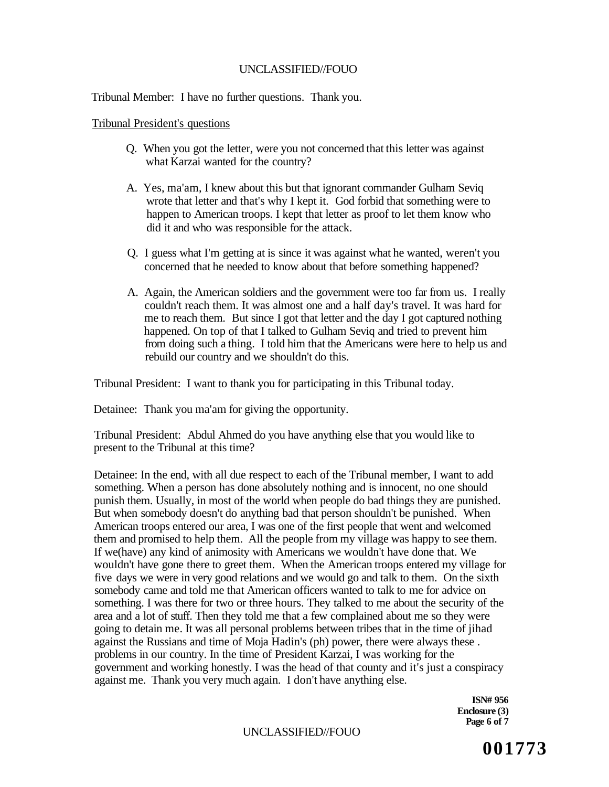Tribunal Member: I have no further questions. Thank you.

Tribunal President's questions

- Q. When you got the letter, were you not concerned that this letter was against what Karzai wanted for the country?
- A. Yes, ma'am, I knew about this but that ignorant commander Gulham Seviq wrote that letter and that's why I kept it. God forbid that something were to happen to American troops. I kept that letter as proof to let them know who did it and who was responsible for the attack.
- Q. I guess what I'm getting at is since it was against what he wanted, weren't you concerned that he needed to know about that before something happened?
- A. Again, the American soldiers and the government were too far from us. I really couldn't reach them. It was almost one and a half day's travel. It was hard for me to reach them. But since I got that letter and the day I got captured nothing happened. On top of that I talked to Gulham Seviq and tried to prevent him from doing such a thing. I told him that the Americans were here to help us and rebuild our country and we shouldn't do this.

Tribunal President: I want to thank you for participating in this Tribunal today.

Detainee: Thank you ma'am for giving the opportunity.

Tribunal President: Abdul Ahmed do you have anything else that you would like to present to the Tribunal at this time?

Detainee: In the end, with all due respect to each of the Tribunal member, I want to add something. When a person has done absolutely nothing and is innocent, no one should punish them. Usually, in most of the world when people do bad things they are punished. But when somebody doesn't do anything bad that person shouldn't be punished. When American troops entered our area, I was one of the first people that went and welcomed them and promised to help them. All the people from my village was happy to see them. If we(have) any kind of animosity with Americans we wouldn't have done that. We wouldn't have gone there to greet them. When the American troops entered my village for five days we were in very good relations and we would go and talk to them. On the sixth somebody came and told me that American officers wanted to talk to me for advice on something. I was there for two or three hours. They talked to me about the security of the area and a lot of stuff. Then they told me that a few complained about me so they were going to detain me. It was all personal problems between tribes that in the time of jihad against the Russians and time of Moja Hadin's (ph) power, there were always these . problems in our country. In the time of President Karzai, I was working for the government and working honestly. I was the head of that county and it's just a conspiracy against me. Thank you very much again. I don't have anything else.

> **ISN# 956 Enclosure (3) Page 6 of 7**

### UNCLASSIFIED//FOUO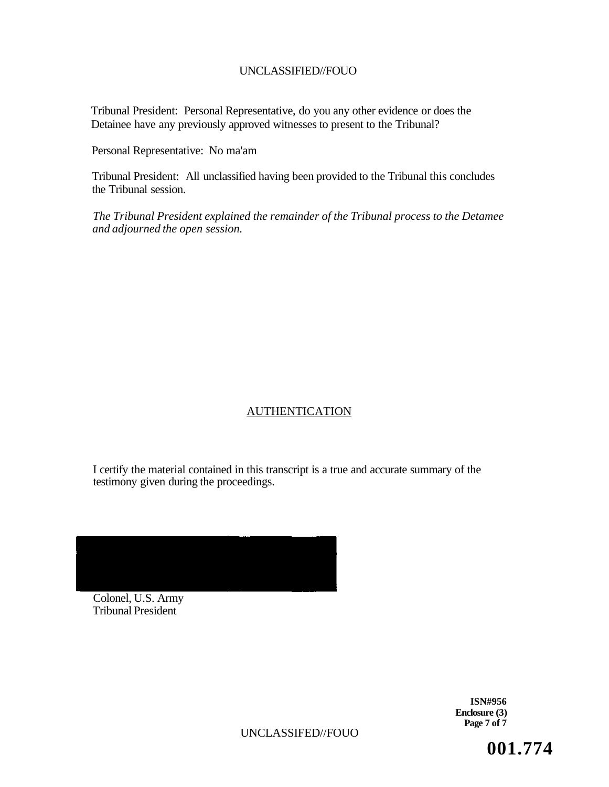Tribunal President: Personal Representative, do you any other evidence or does the Detainee have any previously approved witnesses to present to the Tribunal?

Personal Representative: No ma'am

Tribunal President: All unclassified having been provided to the Tribunal this concludes the Tribunal session.

*The Tribunal President explained the remainder of the Tribunal process to the Detamee and adjourned the open session.* 

### AUTHENTICATION

I certify the material contained in this transcript is a true and accurate summary of the testimony given during the proceedings.



Colonel, U.S. Army Tribunal President

> **ISN#956 Enclosure (3) Page 7 of 7**

UNCLASSIFED//FOUO

**001.774**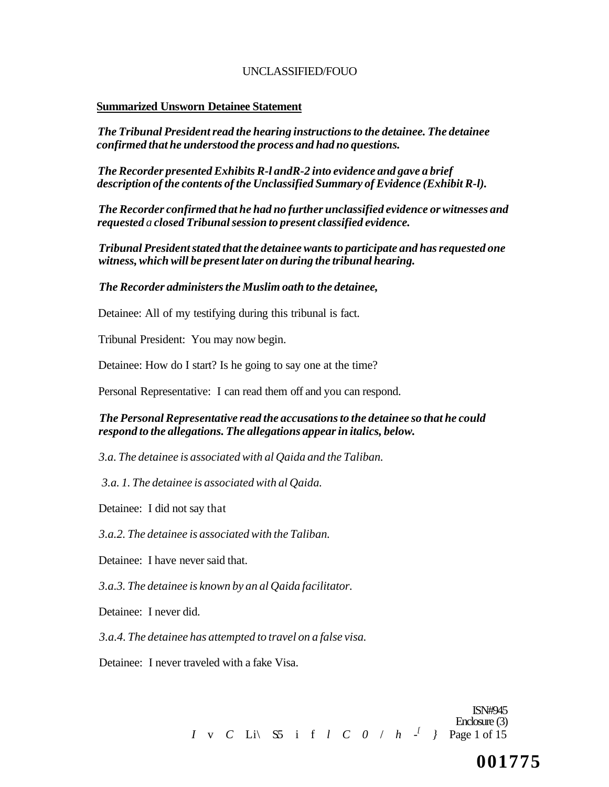#### **Summarized Unsworn Detainee Statement**

*The Tribunal President read the hearing instructions to the detainee. The detainee confirmed that he understood the process and had no questions.* 

*The Recorder presented Exhibits R-l andR-2 into evidence and gave a brief description of the contents of the Unclassified Summary of Evidence (Exhibit R-l).* 

*The Recorder confirmed that he had no further unclassified evidence or witnesses and requested a closed Tribunal session to present classified evidence.* 

*Tribunal President stated that the detainee wants to participate and has requested one witness, which will be present later on during the tribunal hearing.* 

#### *The Recorder administers the Muslim oath to the detainee,*

Detainee: All of my testifying during this tribunal is fact.

Tribunal President: You may now begin.

Detainee: How do I start? Is he going to say one at the time?

Personal Representative: I can read them off and you can respond.

### *The Personal Representative read the accusations to the detainee so that he could respond to the allegations. The allegations appear in italics, below.*

*3.a. The detainee is associated with al Qaida and the Taliban.* 

*3.a. 1. The detainee is associated with al Qaida.* 

Detainee: I did not say that

*3.a.2. The detainee is associated with the Taliban.* 

Detainee: I have never said that.

*3.a.3. The detainee is known by an al Qaida facilitator.* 

Detainee: I never did.

*3.a.4. The detainee has attempted to travel on a false visa.* 

Detainee: I never traveled with a fake Visa.

ISN#945 Enclosure (3) *I* v *C* Li\ S.5 i f *l C 0* / *h - [ }* Page 1 of 15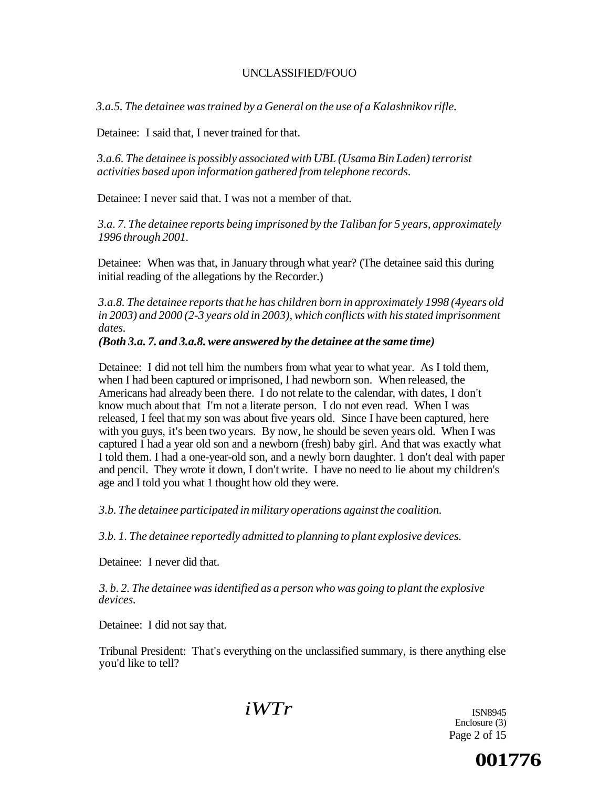*3.a.5. The detainee was trained by a General on the use of a Kalashnikov rifle.* 

Detainee: I said that, I never trained for that.

*3.a.6. The detainee is possibly associated with UBL (Usama Bin Laden) terrorist activities based upon information gathered from telephone records.* 

Detainee: I never said that. I was not a member of that.

*3.a. 7. The detainee reports being imprisoned by the Taliban for 5 years, approximately 1996 through 2001.* 

Detainee: When was that, in January through what year? (The detainee said this during initial reading of the allegations by the Recorder.)

*3.a.8. The detainee reports that he has children born in approximately 1998 (4years old in 2003) and 2000 (2-3 years old in 2003), which conflicts with his stated imprisonment dates.* 

### *(Both 3.a. 7. and 3.a.8. were answered by the detainee at the same time)*

Detainee: I did not tell him the numbers from what year to what year. As I told them, when I had been captured or imprisoned, I had newborn son. When released, the Americans had already been there. I do not relate to the calendar, with dates, I don't know much about that I'm not a literate person. I do not even read. When I was released, I feel that my son was about five years old. Since I have been captured, here with you guys, it's been two years. By now, he should be seven years old. When I was captured I had a year old son and a newborn (fresh) baby girl. And that was exactly what I told them. I had a one-year-old son, and a newly born daughter. 1 don't deal with paper and pencil. They wrote it down, I don't write. I have no need to lie about my children's age and I told you what 1 thought how old they were.

*3.b. The detainee participated in military operations against the coalition.* 

*3.b. 1. The detainee reportedly admitted to planning to plant explosive devices.* 

Detainee: I never did that.

*3. b. 2. The detainee was identified as a person who was going to plant the explosive devices.* 

Detainee: I did not say that.

Tribunal President: That's everything on the unclassified summary, is there anything else you'd like to tell?

*iWTr* 

ISN8945 Enclosure (3) Page 2 of 15

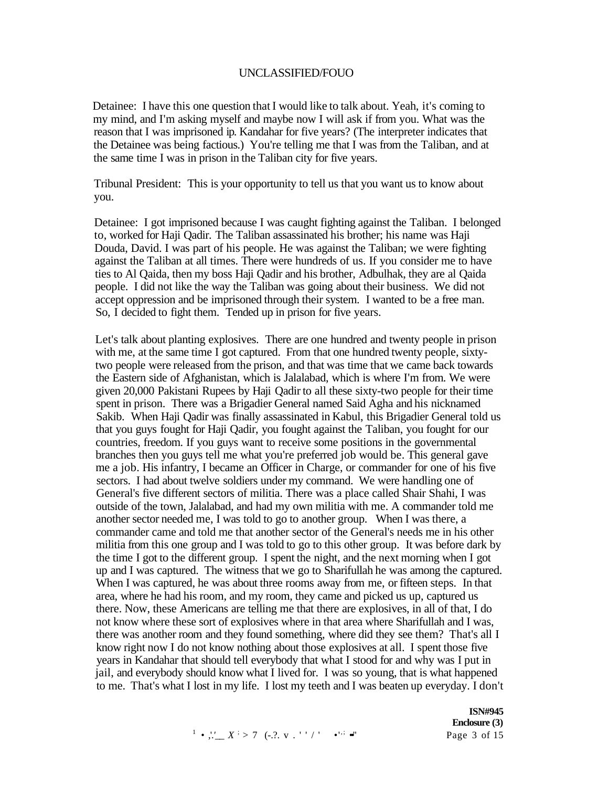Detainee: I have this one question that I would like to talk about. Yeah, it's coming to my mind, and I'm asking myself and maybe now I will ask if from you. What was the reason that I was imprisoned ip. Kandahar for five years? (The interpreter indicates that the Detainee was being factious.) You're telling me that I was from the Taliban, and at the same time I was in prison in the Taliban city for five years.

Tribunal President: This is your opportunity to tell us that you want us to know about you.

Detainee: I got imprisoned because I was caught fighting against the Taliban. I belonged to, worked for Haji Qadir. The Taliban assassinated his brother; his name was Haji Douda, David. I was part of his people. He was against the Taliban; we were fighting against the Taliban at all times. There were hundreds of us. If you consider me to have ties to Al Qaida, then my boss Haji Qadir and his brother, Adbulhak, they are al Qaida people. I did not like the way the Taliban was going about their business. We did not accept oppression and be imprisoned through their system. I wanted to be a free man. So, I decided to fight them. Tended up in prison for five years.

Let's talk about planting explosives. There are one hundred and twenty people in prison with me, at the same time I got captured. From that one hundred twenty people, sixtytwo people were released from the prison, and that was time that we came back towards the Eastern side of Afghanistan, which is Jalalabad, which is where I'm from. We were given 20,000 Pakistani Rupees by Haji Qadir to all these sixty-two people for their time spent in prison. There was a Brigadier General named Said Agha and his nicknamed Sakib. When Haji Qadir was finally assassinated in Kabul, this Brigadier General told us that you guys fought for Haji Qadir, you fought against the Taliban, you fought for our countries, freedom. If you guys want to receive some positions in the governmental branches then you guys tell me what you're preferred job would be. This general gave me a job. His infantry, I became an Officer in Charge, or commander for one of his five sectors. I had about twelve soldiers under my command. We were handling one of General's five different sectors of militia. There was a place called Shair Shahi, I was outside of the town, Jalalabad, and had my own militia with me. A commander told me another sector needed me, I was told to go to another group. When I was there, a commander came and told me that another sector of the General's needs me in his other militia from this one group and I was told to go to this other group. It was before dark by the time I got to the different group. I spent the night, and the next morning when I got up and I was captured. The witness that we go to Sharifullah he was among the captured. When I was captured, he was about three rooms away from me, or fifteen steps. In that area, where he had his room, and my room, they came and picked us up, captured us there. Now, these Americans are telling me that there are explosives, in all of that, I do not know where these sort of explosives where in that area where Sharifullah and I was, there was another room and they found something, where did they see them? That's all I know right now I do not know nothing about those explosives at all. I spent those five years in Kandahar that should tell everybody that what I stood for and why was I put in jail, and everybody should know what I lived for. I was so young, that is what happened to me. That's what I lost in my life. I lost my teeth and I was beaten up everyday. I don't

**ISN#945 Enclosure (3)**  Page 3 of 15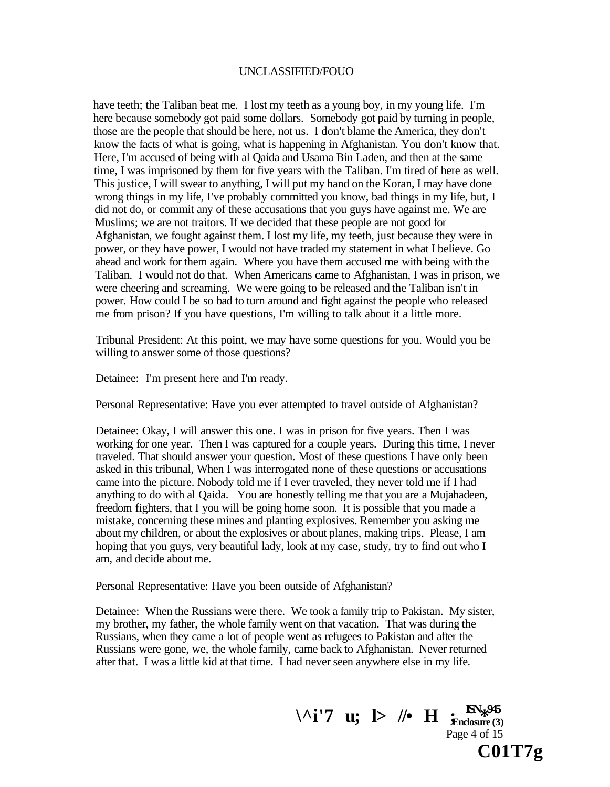have teeth; the Taliban beat me. I lost my teeth as a young boy, in my young life. I'm here because somebody got paid some dollars. Somebody got paid by turning in people, those are the people that should be here, not us. I don't blame the America, they don't know the facts of what is going, what is happening in Afghanistan. You don't know that. Here, I'm accused of being with al Qaida and Usama Bin Laden, and then at the same time, I was imprisoned by them for five years with the Taliban. I'm tired of here as well. This justice, I will swear to anything, I will put my hand on the Koran, I may have done wrong things in my life, I've probably committed you know, bad things in my life, but, I did not do, or commit any of these accusations that you guys have against me. We are Muslims; we are not traitors. If we decided that these people are not good for Afghanistan, we fought against them. I lost my life, my teeth, just because they were in power, or they have power, I would not have traded my statement in what I believe. Go ahead and work for them again. Where you have them accused me with being with the Taliban. I would not do that. When Americans came to Afghanistan, I was in prison, we were cheering and screaming. We were going to be released and the Taliban isn't in power. How could I be so bad to turn around and fight against the people who released me from prison? If you have questions, I'm willing to talk about it a little more.

Tribunal President: At this point, we may have some questions for you. Would you be willing to answer some of those questions?

Detainee: I'm present here and I'm ready.

Personal Representative: Have you ever attempted to travel outside of Afghanistan?

Detainee: Okay, I will answer this one. I was in prison for five years. Then I was working for one year. Then I was captured for a couple years. During this time, I never traveled. That should answer your question. Most of these questions I have only been asked in this tribunal, When I was interrogated none of these questions or accusations came into the picture. Nobody told me if I ever traveled, they never told me if I had anything to do with al Qaida. You are honestly telling me that you are a Mujahadeen, freedom fighters, that I you will be going home soon. It is possible that you made a mistake, concerning these mines and planting explosives. Remember you asking me about my children, or about the explosives or about planes, making trips. Please, I am hoping that you guys, very beautiful lady, look at my case, study, try to find out who I am, and decide about me.

Personal Representative: Have you been outside of Afghanistan?

Detainee: When the Russians were there. We took a family trip to Pakistan. My sister, my brother, my father, the whole family went on that vacation. That was during the Russians, when they came a lot of people went as refugees to Pakistan and after the Russians were gone, we, the whole family, came back to Afghanistan. Never returned after that. I was a little kid at that time. I had never seen anywhere else in my life.

 $\setminus$  ^**i**'7 **u**;  $\triangleright$  //• **H**  $\underset{\text{Enclosure (3)}}{\cdot}$ **Enclosure (3)**  Page 4 of 15 **C01T7g**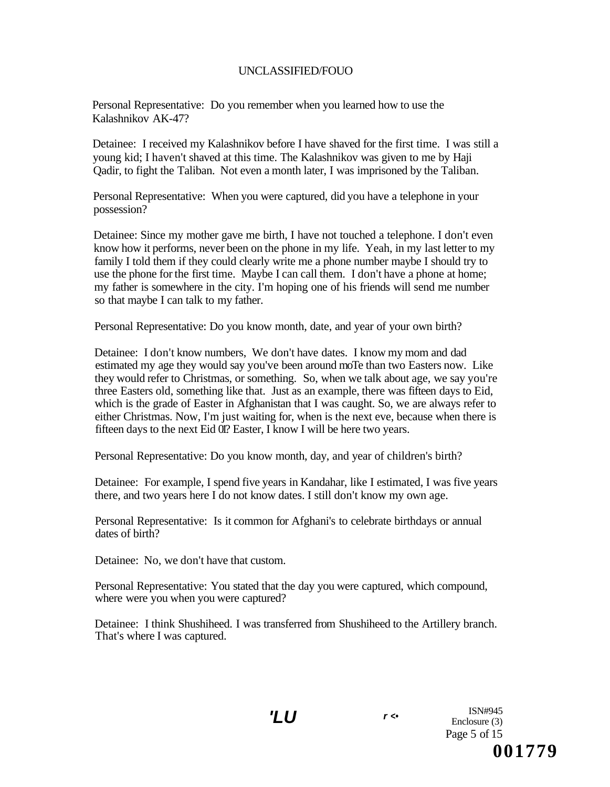Personal Representative: Do you remember when you learned how to use the Kalashnikov AK-47?

Detainee: I received my Kalashnikov before I have shaved for the first time. I was still a young kid; I haven't shaved at this time. The Kalashnikov was given to me by Haji Qadir, to fight the Taliban. Not even a month later, I was imprisoned by the Taliban.

Personal Representative: When you were captured, did you have a telephone in your possession?

Detainee: Since my mother gave me birth, I have not touched a telephone. I don't even know how it performs, never been on the phone in my life. Yeah, in my last letter to my family I told them if they could clearly write me a phone number maybe I should try to use the phone for the first time. Maybe I can call them. I don't have a phone at home; my father is somewhere in the city. I'm hoping one of his friends will send me number so that maybe I can talk to my father.

Personal Representative: Do you know month, date, and year of your own birth?

Detainee: I don't know numbers, We don't have dates. I know my mom and dad estimated my age they would say you've been around moTe than two Easters now. Like they would refer to Christmas, or something. So, when we talk about age, we say you're three Easters old, something like that. Just as an example, there was fifteen days to Eid, which is the grade of Easter in Afghanistan that I was caught. So, we are always refer to either Christmas. Now, I'm just waiting for, when is the next eve, because when there is fifteen days to the next Eid 01? Easter, I know I will be here two years.

Personal Representative: Do you know month, day, and year of children's birth?

Detainee: For example, I spend five years in Kandahar, like I estimated, I was five years there, and two years here I do not know dates. I still don't know my own age.

Personal Representative: Is it common for Afghani's to celebrate birthdays or annual dates of birth?

Detainee: No, we don't have that custom.

Personal Representative: You stated that the day you were captured, which compound, where were you when you were captured?

Detainee: I think Shushiheed. I was transferred from Shushiheed to the Artillery branch. That's where I was captured.

**'LU r <•**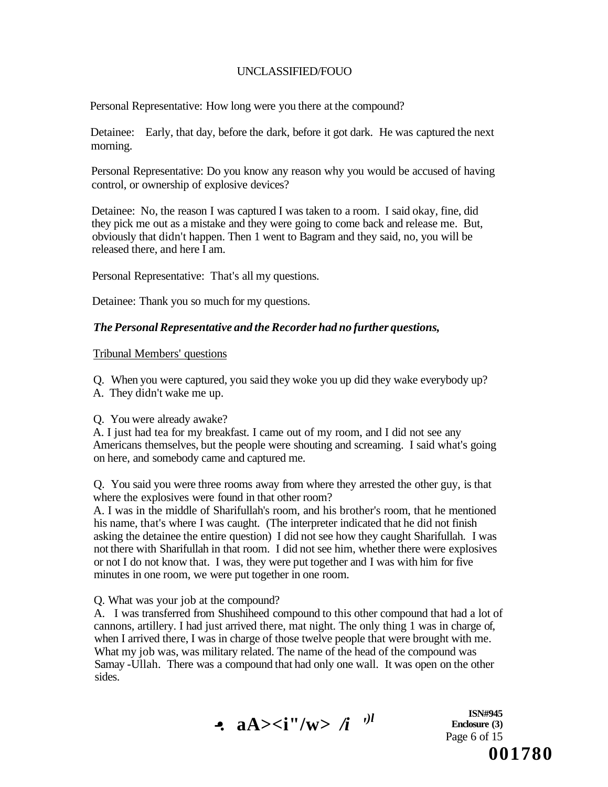Personal Representative: How long were you there at the compound?

Detainee: Early, that day, before the dark, before it got dark. He was captured the next morning.

Personal Representative: Do you know any reason why you would be accused of having control, or ownership of explosive devices?

Detainee: No, the reason I was captured I was taken to a room. I said okay, fine, did they pick me out as a mistake and they were going to come back and release me. But, obviously that didn't happen. Then 1 went to Bagram and they said, no, you will be released there, and here I am.

Personal Representative: That's all my questions.

Detainee: Thank you so much for my questions.

### *The Personal Representative and the Recorder had no further questions,*

Tribunal Members' questions

Q. When you were captured, you said they woke you up did they wake everybody up? A. They didn't wake me up.

#### Q. You were already awake?

A. I just had tea for my breakfast. I came out of my room, and I did not see any Americans themselves, but the people were shouting and screaming. I said what's going on here, and somebody came and captured me.

Q. You said you were three rooms away from where they arrested the other guy, is that where the explosives were found in that other room?

A. I was in the middle of Sharifullah's room, and his brother's room, that he mentioned his name, that's where I was caught. (The interpreter indicated that he did not finish asking the detainee the entire question) I did not see how they caught Sharifullah. I was not there with Sharifullah in that room. I did not see him, whether there were explosives or not I do not know that. I was, they were put together and I was with him for five minutes in one room, we were put together in one room.

Q. What was your job at the compound?

A. I was transferred from Shushiheed compound to this other compound that had a lot of cannons, artillery. I had just arrived there, mat night. The only thing 1 was in charge of, when I arrived there, I was in charge of those twelve people that were brought with me. What my job was, was military related. The name of the head of the compound was Samay -Ullah. There was a compound that had only one wall. It was open on the other sides.



**ISN#945 Enclosure (3)**  Page 6 of 15 **001780**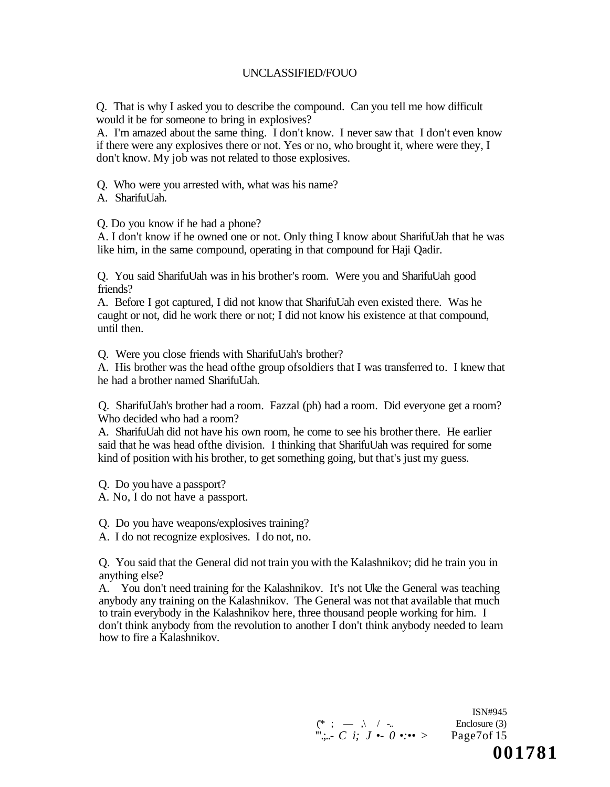Q. That is why I asked you to describe the compound. Can you tell me how difficult would it be for someone to bring in explosives?

A. I'm amazed about the same thing. I don't know. I never saw that I don't even know if there were any explosives there or not. Yes or no, who brought it, where were they, I don't know. My job was not related to those explosives.

Q. Who were you arrested with, what was his name?

A. SharifuUah.

Q. Do you know if he had a phone?

A. I don't know if he owned one or not. Only thing I know about SharifuUah that he was like him, in the same compound, operating in that compound for Haji Qadir.

Q. You said SharifuUah was in his brother's room. Were you and SharifuUah good friends?

A. Before I got captured, I did not know that SharifuUah even existed there. Was he caught or not, did he work there or not; I did not know his existence at that compound, until then.

Q. Were you close friends with SharifuUah's brother?

A. His brother was the head ofthe group ofsoldiers that I was transferred to. I knew that he had a brother named SharifuUah.

Q. SharifuUah's brother had a room. Fazzal (ph) had a room. Did everyone get a room? Who decided who had a room?

A. SharifuUah did not have his own room, he come to see his brother there. He earlier said that he was head ofthe division. I thinking that SharifuUah was required for some kind of position with his brother, to get something going, but that's just my guess.

Q. Do you have a passport?

A. No, I do not have a passport.

Q. Do you have weapons/explosives training?

A. I do not recognize explosives. I do not, no.

Q. You said that the General did not train you with the Kalashnikov; did he train you in anything else?

A. You don't need training for the Kalashnikov. It's not Uke the General was teaching anybody any training on the Kalashnikov. The General was not that available that much to train everybody in the Kalashnikov here, three thousand people working for him. I don't think anybody from the revolution to another I don't think anybody needed to learn how to fire a Kalashnikov.

> ISN#945  $(\ast ; - \cdot)$  / -.. Enclosure (3) '".;..- *C i; J •- 0 •:••* > Page7of 15 **001781**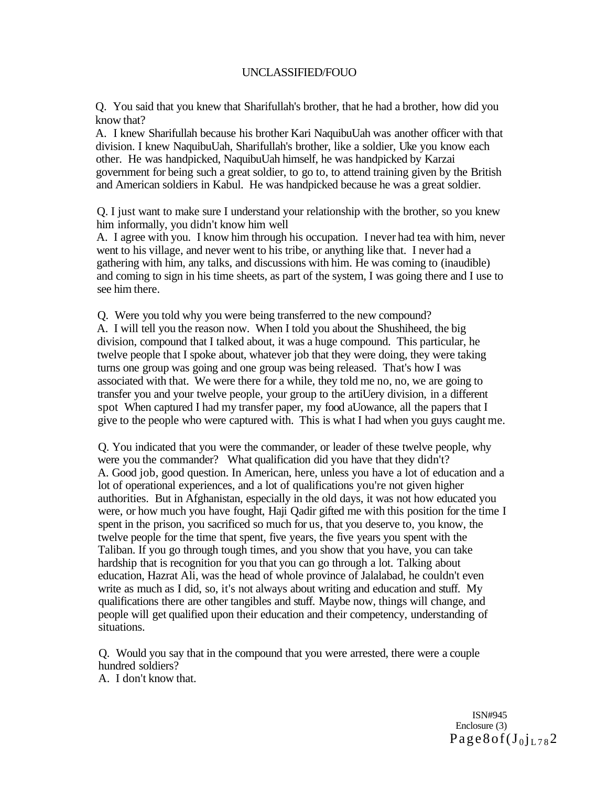Q. You said that you knew that Sharifullah's brother, that he had a brother, how did you know that?

A. I knew Sharifullah because his brother Kari NaquibuUah was another officer with that division. I knew NaquibuUah, Sharifullah's brother, like a soldier, Uke you know each other. He was handpicked, NaquibuUah himself, he was handpicked by Karzai government for being such a great soldier, to go to, to attend training given by the British and American soldiers in Kabul. He was handpicked because he was a great soldier.

Q. I just want to make sure I understand your relationship with the brother, so you knew him informally, you didn't know him well

A. I agree with you. I know him through his occupation. I never had tea with him, never went to his village, and never went to his tribe, or anything like that. I never had a gathering with him, any talks, and discussions with him. He was coming to (inaudible) and coming to sign in his time sheets, as part of the system, I was going there and I use to see him there.

Q. Were you told why you were being transferred to the new compound? A. I will tell you the reason now. When I told you about the Shushiheed, the big division, compound that I talked about, it was a huge compound. This particular, he twelve people that I spoke about, whatever job that they were doing, they were taking turns one group was going and one group was being released. That's how I was associated with that. We were there for a while, they told me no, no, we are going to transfer you and your twelve people, your group to the artiUery division, in a different spot When captured I had my transfer paper, my food aUowance, all the papers that I give to the people who were captured with. This is what I had when you guys caught me.

Q. You indicated that you were the commander, or leader of these twelve people, why were you the commander? What qualification did you have that they didn't? A. Good job, good question. In American, here, unless you have a lot of education and a lot of operational experiences, and a lot of qualifications you're not given higher authorities. But in Afghanistan, especially in the old days, it was not how educated you were, or how much you have fought, Haji Qadir gifted me with this position for the time I spent in the prison, you sacrificed so much for us, that you deserve to, you know, the twelve people for the time that spent, five years, the five years you spent with the Taliban. If you go through tough times, and you show that you have, you can take hardship that is recognition for you that you can go through a lot. Talking about education, Hazrat Ali, was the head of whole province of Jalalabad, he couldn't even write as much as I did, so, it's not always about writing and education and stuff. My qualifications there are other tangibles and stuff. Maybe now, things will change, and people will get qualified upon their education and their competency, understanding of situations.

Q. Would you say that in the compound that you were arrested, there were a couple hundred soldiers? A. I don't know that.

> ISN#945 Enclosure (3)  $Page8of(J_0j_{L78}2)$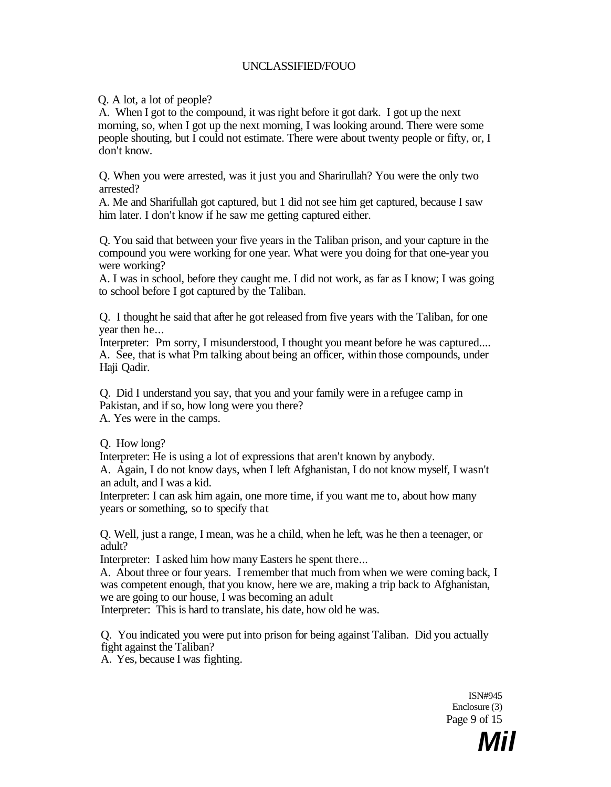Q. A lot, a lot of people?

A. When I got to the compound, it was right before it got dark. I got up the next morning, so, when I got up the next morning, I was looking around. There were some people shouting, but I could not estimate. There were about twenty people or fifty, or, I don't know.

Q. When you were arrested, was it just you and Sharirullah? You were the only two arrested?

A. Me and Sharifullah got captured, but 1 did not see him get captured, because I saw him later. I don't know if he saw me getting captured either.

Q. You said that between your five years in the Taliban prison, and your capture in the compound you were working for one year. What were you doing for that one-year you were working?

A. I was in school, before they caught me. I did not work, as far as I know; I was going to school before I got captured by the Taliban.

Q. I thought he said that after he got released from five years with the Taliban, for one year then he...

Interpreter: Pm sorry, I misunderstood, I thought you meant before he was captured.... A. See, that is what Pm talking about being an officer, within those compounds, under Haji Qadir.

Q. Did I understand you say, that you and your family were in a refugee camp in Pakistan, and if so, how long were you there?

A. Yes were in the camps.

Q. How long?

Interpreter: He is using a lot of expressions that aren't known by anybody.

A. Again, I do not know days, when I left Afghanistan, I do not know myself, I wasn't an adult, and I was a kid.

Interpreter: I can ask him again, one more time, if you want me to, about how many years or something, so to specify that

Q. Well, just a range, I mean, was he a child, when he left, was he then a teenager, or adult?

Interpreter: I asked him how many Easters he spent there...

A. About three or four years. I remember that much from when we were coming back, I was competent enough, that you know, here we are, making a trip back to Afghanistan, we are going to our house, I was becoming an adult

Interpreter: This is hard to translate, his date, how old he was.

Q. You indicated you were put into prison for being against Taliban. Did you actually fight against the Taliban?

A. Yes, because I was fighting.

ISN#945 Enclosure (3) Page 9 of 15

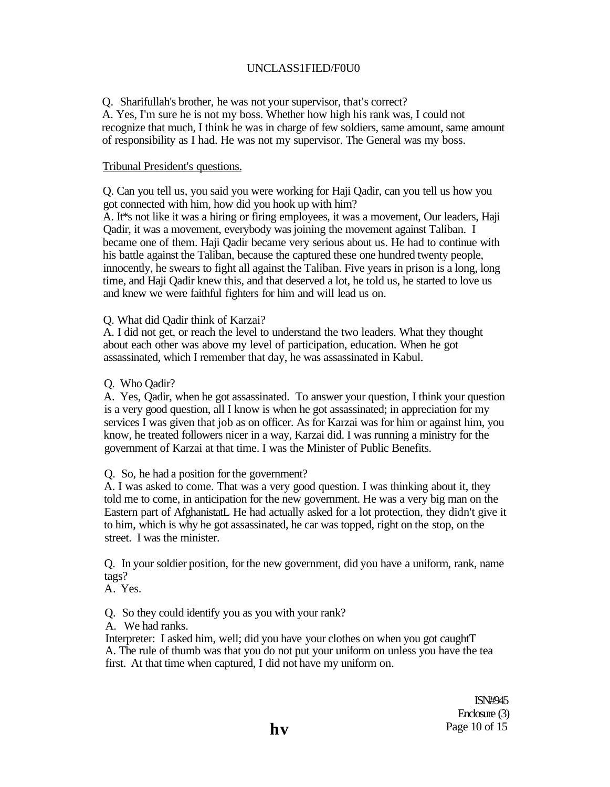### UNCLASS1FIED/F0U0

Q. Sharifullah's brother, he was not your supervisor, that's correct?

A. Yes, I'm sure he is not my boss. Whether how high his rank was, I could not recognize that much, I think he was in charge of few soldiers, same amount, same amount of responsibility as I had. He was not my supervisor. The General was my boss.

### Tribunal President's questions.

Q. Can you tell us, you said you were working for Haji Qadir, can you tell us how you got connected with him, how did you hook up with him?

A. It\*s not like it was a hiring or firing employees, it was a movement, Our leaders, Haji Qadir, it was a movement, everybody was joining the movement against Taliban. I became one of them. Haji Qadir became very serious about us. He had to continue with his battle against the Taliban, because the captured these one hundred twenty people, innocently, he swears to fight all against the Taliban. Five years in prison is a long, long time, and Haji Qadir knew this, and that deserved a lot, he told us, he started to love us and knew we were faithful fighters for him and will lead us on.

Q. What did Qadir think of Karzai?

A. I did not get, or reach the level to understand the two leaders. What they thought about each other was above my level of participation, education. When he got assassinated, which I remember that day, he was assassinated in Kabul.

Q. Who Qadir?

A. Yes, Qadir, when he got assassinated. To answer your question, I think your question is a very good question, all I know is when he got assassinated; in appreciation for my services I was given that job as on officer. As for Karzai was for him or against him, you know, he treated followers nicer in a way, Karzai did. I was running a ministry for the government of Karzai at that time. I was the Minister of Public Benefits.

Q. So, he had a position for the government?

A. I was asked to come. That was a very good question. I was thinking about it, they told me to come, in anticipation for the new government. He was a very big man on the Eastern part of AfghanistatL He had actually asked for a lot protection, they didn't give it to him, which is why he got assassinated, he car was topped, right on the stop, on the street. I was the minister.

Q. In your soldier position, for the new government, did you have a uniform, rank, name tags?

A. Yes.

Q. So they could identify you as you with your rank?

A. We had ranks.

Interpreter: I asked him, well; did you have your clothes on when you got caughtT A. The rule of thumb was that you do not put your uniform on unless you have the tea first. At that time when captured, I did not have my uniform on.

> ISN#945 Enclosure (3) **hv** Page 10 of 15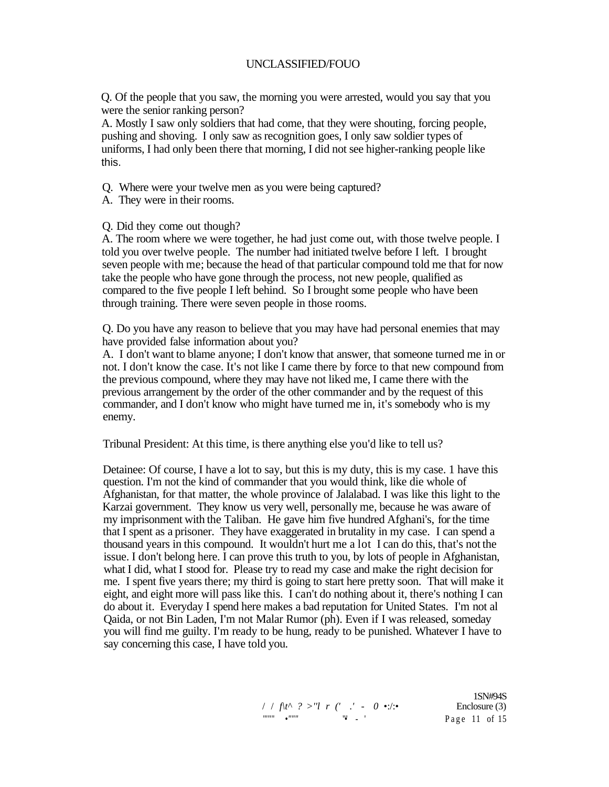Q. Of the people that you saw, the morning you were arrested, would you say that you were the senior ranking person?

A. Mostly I saw only soldiers that had come, that they were shouting, forcing people, pushing and shoving. I only saw as recognition goes, I only saw soldier types of uniforms, I had only been there that morning, I did not see higher-ranking people like this.

Q. Where were your twelve men as you were being captured?

- A. They were in their rooms.
- Q. Did they come out though?

A. The room where we were together, he had just come out, with those twelve people. I told you over twelve people. The number had initiated twelve before I left. I brought seven people with me; because the head of that particular compound told me that for now take the people who have gone through the process, not new people, qualified as compared to the five people I left behind. So I brought some people who have been through training. There were seven people in those rooms.

Q. Do you have any reason to believe that you may have had personal enemies that may have provided false information about you?

A. I don't want to blame anyone; I don't know that answer, that someone turned me in or not. I don't know the case. It's not like I came there by force to that new compound from the previous compound, where they may have not liked me, I came there with the previous arrangement by the order of the other commander and by the request of this commander, and I don't know who might have turned me in, it's somebody who is my enemy.

Tribunal President: At this time, is there anything else you'd like to tell us?

Detainee: Of course, I have a lot to say, but this is my duty, this is my case. 1 have this question. I'm not the kind of commander that you would think, like die whole of Afghanistan, for that matter, the whole province of Jalalabad. I was like this light to the Karzai government. They know us very well, personally me, because he was aware of my imprisonment with the Taliban. He gave him five hundred Afghani's, for the time that I spent as a prisoner. They have exaggerated in brutality in my case. I can spend a thousand years in this compound. It wouldn't hurt me a lot I can do this, that's not the issue. I don't belong here. I can prove this truth to you, by lots of people in Afghanistan, what I did, what I stood for. Please try to read my case and make the right decision for me. I spent five years there; my third is going to start here pretty soon. That will make it eight, and eight more will pass like this. I can't do nothing about it, there's nothing I can do about it. Everyday I spend here makes a bad reputation for United States. I'm not al Qaida, or not Bin Laden, I'm not Malar Rumor (ph). Even if I was released, someday you will find me guilty. I'm ready to be hung, ready to be punished. Whatever I have to say concerning this case, I have told you.

> 1SN#94S / / *f\t^ ? >''l r (' .'* - *0* •:/:• Enclosure (3) '""" *•"""* "•' - ' Pag e 11 of 15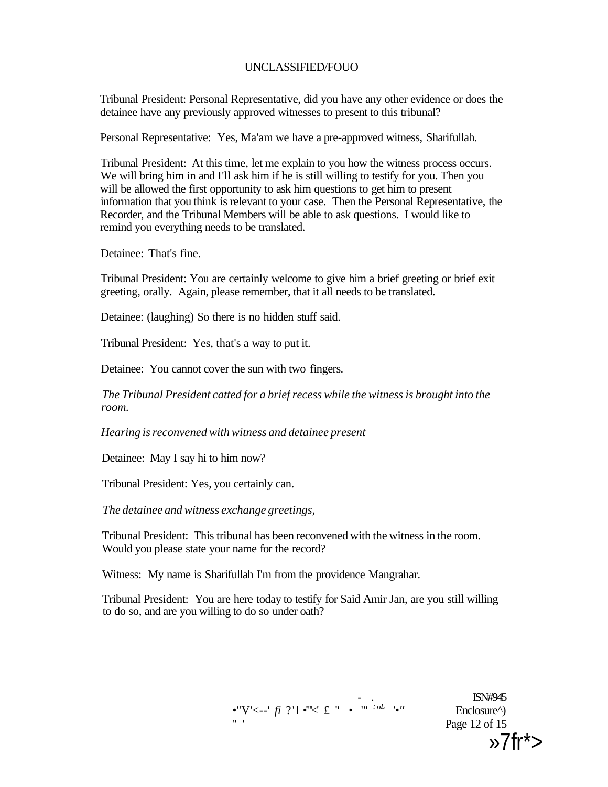Tribunal President: Personal Representative, did you have any other evidence or does the detainee have any previously approved witnesses to present to this tribunal?

Personal Representative: Yes, Ma'am we have a pre-approved witness, Sharifullah.

Tribunal President: At this time, let me explain to you how the witness process occurs. We will bring him in and I'll ask him if he is still willing to testify for you. Then you will be allowed the first opportunity to ask him questions to get him to present information that you think is relevant to your case. Then the Personal Representative, the Recorder, and the Tribunal Members will be able to ask questions. I would like to remind you everything needs to be translated.

Detainee: That's fine.

Tribunal President: You are certainly welcome to give him a brief greeting or brief exit greeting, orally. Again, please remember, that it all needs to be translated.

Detainee: (laughing) So there is no hidden stuff said.

Tribunal President: Yes, that's a way to put it.

Detainee: You cannot cover the sun with two fingers.

*The Tribunal President catted for a brief recess while the witness is brought into the room.* 

*Hearing is reconvened with witness and detainee present* 

Detainee: May I say hi to him now?

Tribunal President: Yes, you certainly can.

*The detainee and witness exchange greetings,* 

Tribunal President: This tribunal has been reconvened with the witness in the room. Would you please state your name for the record?

Witness: My name is Sharifullah I'm from the providence Mangrahar.

Tribunal President: You are here today to testify for Said Amir Jan, are you still willing to do so, and are you willing to do so under oath?

•"V'<--' *fi* ?'l •""< £ " • '" *:'<sup>L</sup>* 

- . ISN#945 Enclosure<sup> $\land$ </sup>)<br>Page 12 of 15 " ' Page 12 of 15  $x^2$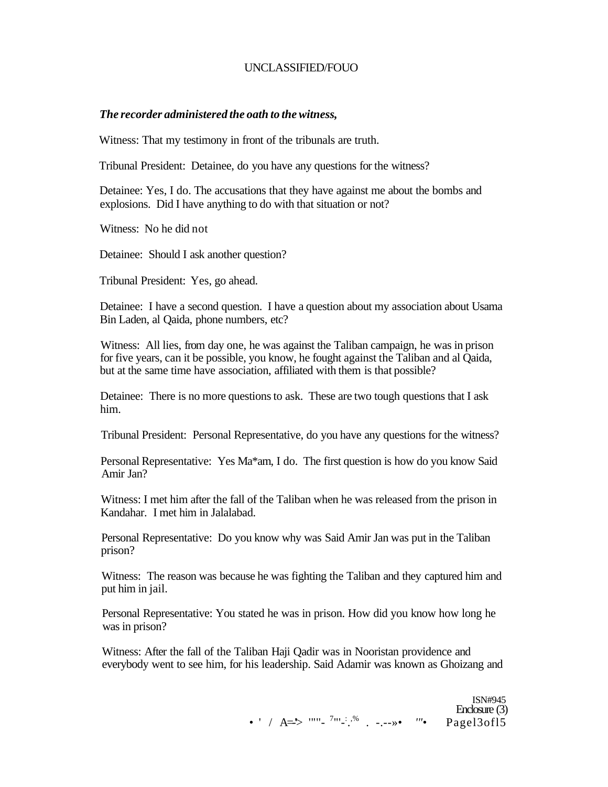#### *The recorder administered the oath to the witness,*

Witness: That my testimony in front of the tribunals are truth.

Tribunal President: Detainee, do you have any questions for the witness?

Detainee: Yes, I do. The accusations that they have against me about the bombs and explosions. Did I have anything to do with that situation or not?

Witness: No he did not

Detainee: Should I ask another question?

Tribunal President: Yes, go ahead.

Detainee: I have a second question. I have a question about my association about Usama Bin Laden, al Qaida, phone numbers, etc?

Witness: All lies, from day one, he was against the Taliban campaign, he was in prison for five years, can it be possible, you know, he fought against the Taliban and al Qaida, but at the same time have association, affiliated with them is that possible?

Detainee: There is no more questions to ask. These are two tough questions that I ask him.

Tribunal President: Personal Representative, do you have any questions for the witness?

Personal Representative: Yes Ma\*am, I do. The first question is how do you know Said Amir Jan?

Witness: I met him after the fall of the Taliban when he was released from the prison in Kandahar. I met him in Jalalabad.

Personal Representative: Do you know why was Said Amir Jan was put in the Taliban prison?

Witness: The reason was because he was fighting the Taliban and they captured him and put him in jail.

Personal Representative: You stated he was in prison. How did you know how long he was in prison?

Witness: After the fall of the Taliban Haji Qadir was in Nooristan providence and everybody went to see him, for his leadership. Said Adamir was known as Ghoizang and

> ISN#945 Enclosure (3) •  $'$  / A=>  $'''' - 7'' - 3''$  . -.-->•  $'''$  Pagel3ofl5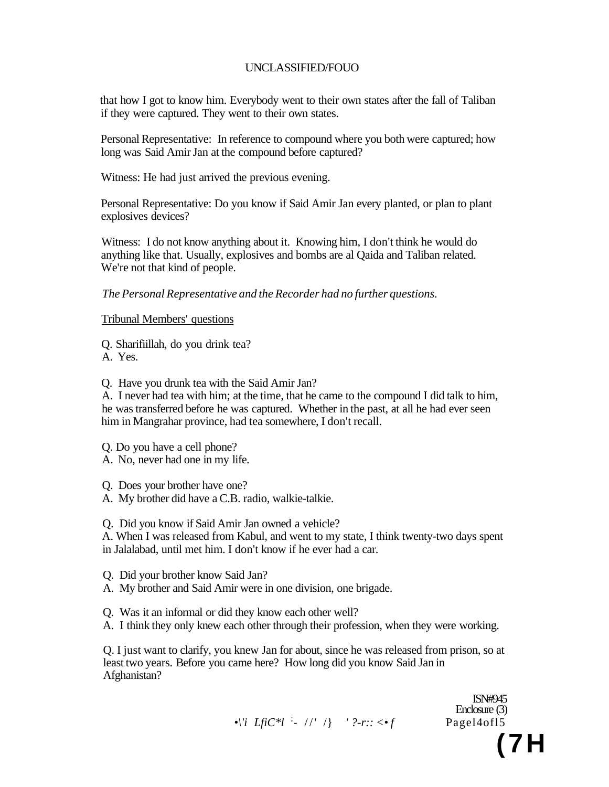that how I got to know him. Everybody went to their own states after the fall of Taliban if they were captured. They went to their own states.

Personal Representative: In reference to compound where you both were captured; how long was Said Amir Jan at the compound before captured?

Witness: He had just arrived the previous evening.

Personal Representative: Do you know if Said Amir Jan every planted, or plan to plant explosives devices?

Witness: I do not know anything about it. Knowing him, I don't think he would do anything like that. Usually, explosives and bombs are al Qaida and Taliban related. We're not that kind of people.

*The Personal Representative and the Recorder had no further questions.* 

Tribunal Members' questions

Q. Sharifiillah, do you drink tea? A. Yes.

Q. Have you drunk tea with the Said Amir Jan?

A. I never had tea with him; at the time, that he came to the compound I did talk to him, he was transferred before he was captured. Whether in the past, at all he had ever seen him in Mangrahar province, had tea somewhere, I don't recall.

Q. Do you have a cell phone?

A. No, never had one in my life.

Q. Does your brother have one?

A. My brother did have a C.B. radio, walkie-talkie.

Q. Did you know if Said Amir Jan owned a vehicle?

A. When I was released from Kabul, and went to my state, I think twenty-two days spent in Jalalabad, until met him. I don't know if he ever had a car.

Q. Did your brother know Said Jan?

A. My brother and Said Amir were in one division, one brigade.

Q. Was it an informal or did they know each other well?

A. I think they only knew each other through their profession, when they were working.

Q. I just want to clarify, you knew Jan for about, since he was released from prison, so at least two years. Before you came here? How long did you know Said Jan in Afghanistan?

```
\bullet \'i LfiC<sup>*</sup>l<sup>'</sup>: //' /} ' ?-r:: <\bullet f Pagel4ofl5
```
ISN#945 Enclosure (3) **(7H**